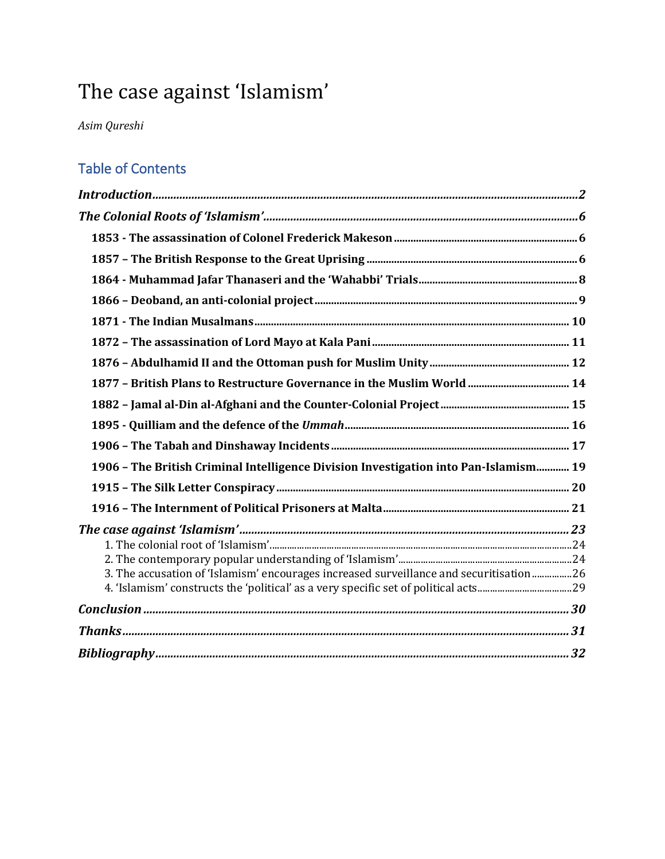# The case against 'Islamism'

*Asim Qureshi* 

### Table of Contents

| 1906 - The British Criminal Intelligence Division Investigation into Pan-Islamism 19    |  |
|-----------------------------------------------------------------------------------------|--|
|                                                                                         |  |
|                                                                                         |  |
|                                                                                         |  |
|                                                                                         |  |
|                                                                                         |  |
| 3. The accusation of 'Islamism' encourages increased surveillance and securitisation 26 |  |
|                                                                                         |  |
|                                                                                         |  |
|                                                                                         |  |
|                                                                                         |  |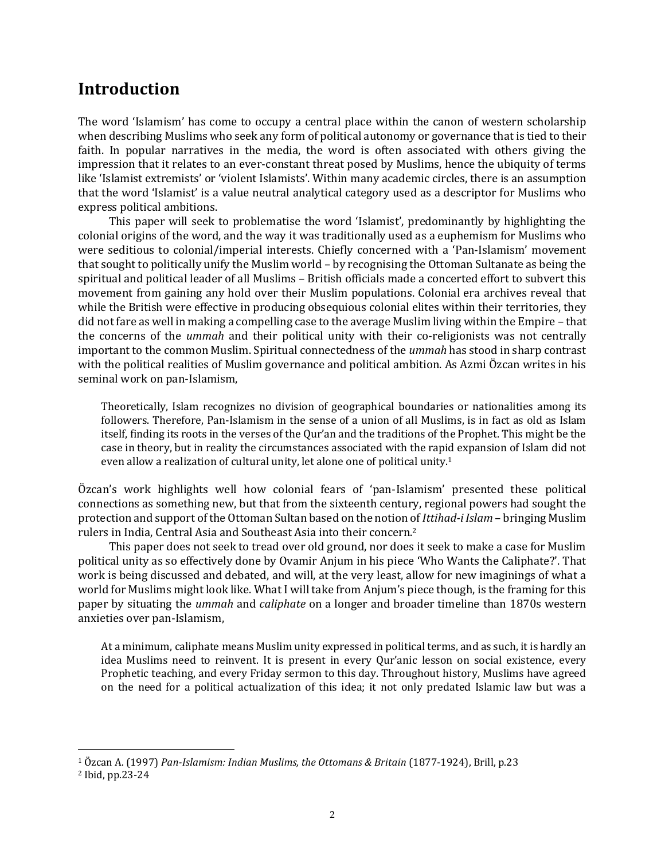## <span id="page-1-0"></span>**Introduction**

The word 'Islamism' has come to occupy a central place within the canon of western scholarship when describing Muslims who seek any form of political autonomy or governance that is tied to their faith. In popular narratives in the media, the word is often associated with others giving the impression that it relates to an ever-constant threat posed by Muslims, hence the ubiquity of terms like 'Islamist extremists' or 'violent Islamists'. Within many academic circles, there is an assumption that the word 'Islamist' is a value neutral analytical category used as a descriptor for Muslims who express political ambitions.

This paper will seek to problematise the word 'Islamist', predominantly by highlighting the colonial origins of the word, and the way it was traditionally used as a euphemism for Muslims who were seditious to colonial/imperial interests. Chiefly concerned with a 'Pan-Islamism' movement that sought to politically unify the Muslim world – by recognising the Ottoman Sultanate as being the spiritual and political leader of all Muslims – British officials made a concerted effort to subvert this movement from gaining any hold over their Muslim populations. Colonial era archives reveal that while the British were effective in producing obsequious colonial elites within their territories, they did not fare as well in making a compelling case to the average Muslim living within the Empire – that the concerns of the *ummah* and their political unity with their co-religionists was not centrally important to the common Muslim. Spiritual connectedness of the *ummah* has stood in sharp contrast with the political realities of Muslim governance and political ambition. As Azmi Özcan writes in his seminal work on pan-Islamism,

Theoretically, Islam recognizes no division of geographical boundaries or nationalities among its followers. Therefore, Pan-Islamism in the sense of a union of all Muslims, is in fact as old as Islam itself, finding its roots in the verses of the Qur'an and the traditions of the Prophet. This might be the case in theory, but in reality the circumstances associated with the rapid expansion of Islam did not even allow a realization of cultural unity, let alone one of political unity.<sup>1</sup>

Özcan's work highlights well how colonial fears of 'pan-Islamism' presented these political connections as something new, but that from the sixteenth century, regional powers had sought the protection and support of the Ottoman Sultan based on the notion of *Ittihad-i Islam* – bringing Muslim rulers in India, Central Asia and Southeast Asia into their concern.<sup>2</sup>

This paper does not seek to tread over old ground, nor does it seek to make a case for Muslim political unity as so effectively done by Ovamir Anjum in his piece 'Who Wants the Caliphate?'. That work is being discussed and debated, and will, at the very least, allow for new imaginings of what a world for Muslims might look like. What I will take from Anjum's piece though, is the framing for this paper by situating the *ummah* and *caliphate* on a longer and broader timeline than 1870s western anxieties over pan-Islamism,

At a minimum, caliphate means Muslim unity expressed in political terms, and as such, it is hardly an idea Muslims need to reinvent. It is present in every Qur'anic lesson on social existence, every Prophetic teaching, and every Friday sermon to this day. Throughout history, Muslims have agreed on the need for a political actualization of this idea; it not only predated Islamic law but was a

<sup>1</sup> Özcan A. (1997) *Pan-Islamism: Indian Muslims, the Ottomans & Britain* (1877-1924), Brill, p.23

<sup>2</sup> Ibid, pp.23-24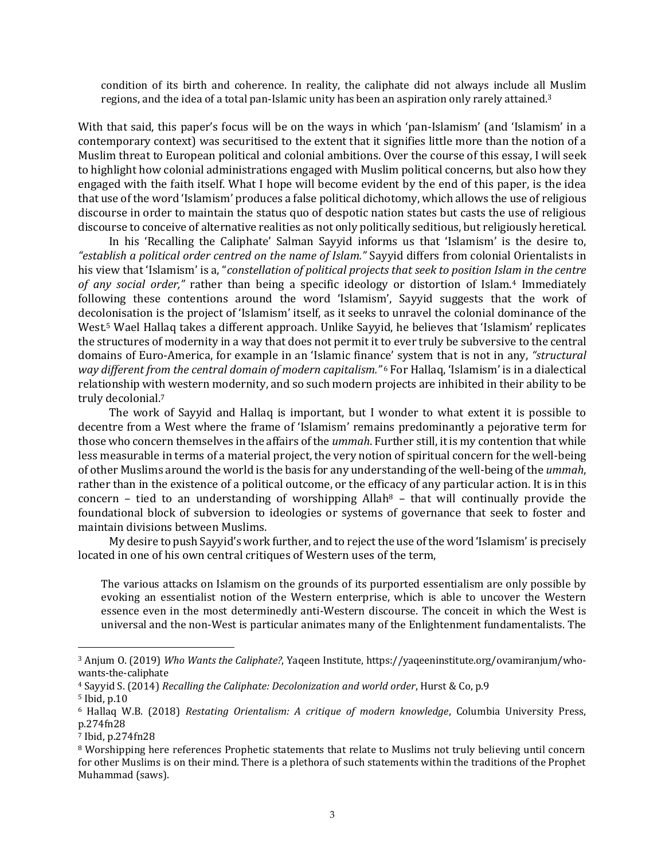condition of its birth and coherence. In reality, the caliphate did not always include all Muslim regions, and the idea of a total pan-Islamic unity has been an aspiration only rarely attained.<sup>3</sup>

With that said, this paper's focus will be on the ways in which 'pan-Islamism' (and 'Islamism' in a contemporary context) was securitised to the extent that it signifies little more than the notion of a Muslim threat to European political and colonial ambitions. Over the course of this essay, I will seek to highlight how colonial administrations engaged with Muslim political concerns, but also how they engaged with the faith itself. What I hope will become evident by the end of this paper, is the idea that use of the word 'Islamism' produces a false political dichotomy, which allows the use of religious discourse in order to maintain the status quo of despotic nation states but casts the use of religious discourse to conceive of alternative realities as not only politically seditious, but religiously heretical.

In his 'Recalling the Caliphate' Salman Sayyid informs us that 'Islamism' is the desire to, *"establish a political order centred on the name of Islam."* Sayyid differs from colonial Orientalists in his view that 'Islamism' is a, "*constellation of political projects that seek to position Islam in the centre of any social order,"* rather than being a specific ideology or distortion of Islam.<sup>4</sup> Immediately following these contentions around the word 'Islamism', Sayyid suggests that the work of decolonisation is the project of 'Islamism' itself, as it seeks to unravel the colonial dominance of the West.<sup>5</sup> Wael Hallaq takes a different approach. Unlike Sayyid, he believes that 'Islamism' replicates the structures of modernity in a way that does not permit it to ever truly be subversive to the central domains of Euro-America, for example in an 'Islamic finance' system that is not in any, *"structural way different from the central domain of modern capitalism."* <sup>6</sup> For Hallaq, 'Islamism' is in a dialectical relationship with western modernity, and so such modern projects are inhibited in their ability to be truly decolonial.<sup>7</sup>

The work of Sayyid and Hallaq is important, but I wonder to what extent it is possible to decentre from a West where the frame of 'Islamism' remains predominantly a pejorative term for those who concern themselves in the affairs of the *ummah*. Further still, it is my contention that while less measurable in terms of a material project, the very notion of spiritual concern for the well-being of other Muslims around the world is the basis for any understanding of the well-being of the *ummah*, rather than in the existence of a political outcome, or the efficacy of any particular action. It is in this concern – tied to an understanding of worshipping Allah<sup>8</sup> – that will continually provide the foundational block of subversion to ideologies or systems of governance that seek to foster and maintain divisions between Muslims.

My desire to push Sayyid's work further, and to reject the use of the word 'Islamism' is precisely located in one of his own central critiques of Western uses of the term,

The various attacks on Islamism on the grounds of its purported essentialism are only possible by evoking an essentialist notion of the Western enterprise, which is able to uncover the Western essence even in the most determinedly anti-Western discourse. The conceit in which the West is universal and the non-West is particular animates many of the Enlightenment fundamentalists. The

<sup>3</sup> Anjum O. (2019) *Who Wants the Caliphate?*, Yaqeen Institute[, https://yaqeeninstitute.org/ovamiranjum/who](https://yaqeeninstitute.org/ovamiranjum/who-wants-the-caliphate)[wants-the-caliphate](https://yaqeeninstitute.org/ovamiranjum/who-wants-the-caliphate)

<sup>4</sup> Sayyid S. (2014) *Recalling the Caliphate: Decolonization and world order*, Hurst & Co, p.9 <sup>5</sup> Ibid, p.10

<sup>6</sup> Hallaq W.B. (2018) *Restating Orientalism: A critique of modern knowledge*, Columbia University Press, p.274fn28

<sup>7</sup> Ibid, p.274fn28

<sup>8</sup> Worshipping here references Prophetic statements that relate to Muslims not truly believing until concern for other Muslims is on their mind. There is a plethora of such statements within the traditions of the Prophet Muhammad (saws).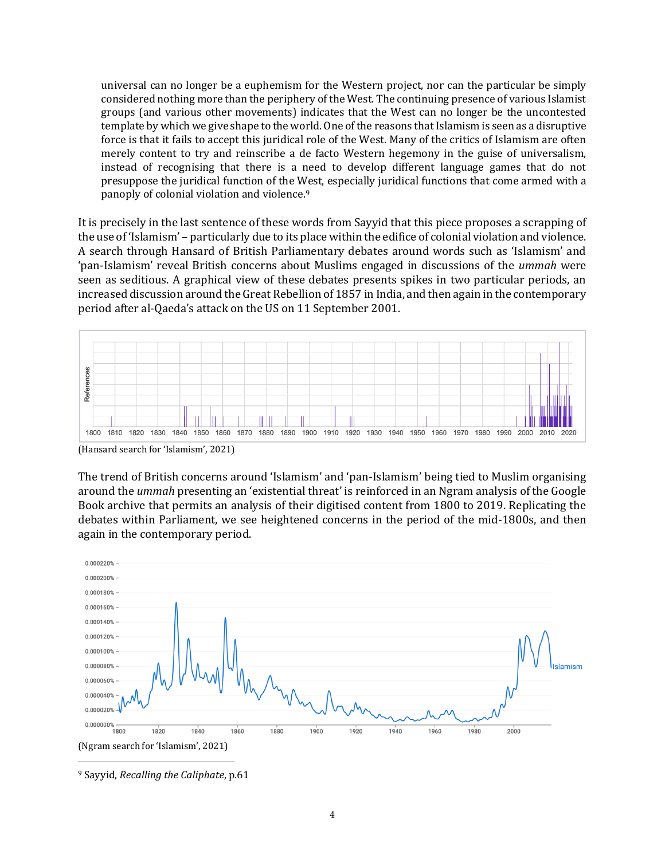universal can no longer be a euphemism for the Western project, nor can the particular be simply considered nothing more than the periphery of the West. The continuing presence of various Islamist groups (and various other movements) indicates that the West can no longer be the uncontested template by which we give shape to the world. One of the reasons that Islamism is seen as a disruptive force is that it fails to accept this juridical role of the West. Many of the critics of Islamism are often merely content to try and reinscribe a de facto Western hegemony in the guise of universalism, instead of recognising that there is a need to develop different language games that do not presuppose the juridical function of the West, especially juridical functions that come armed with a panoply of colonial violation and violence. 9

It is precisely in the last sentence of these words from Sayyid that this piece proposes a scrapping of the use of 'Islamism' – particularly due to its place within the edifice of colonial violation and violence. A search through Hansard of British Parliamentary debates around words such as 'Islamism' and 'pan-Islamism' reveal British concerns about Muslims engaged in discussions of the *ummah* were seen as seditious. A graphical view of these debates presents spikes in two particular periods, an increased discussion around the Great Rebellion of 1857 in India, and then again in the contemporary period after al-Qaeda's attack on the US on 11 September 2001.



(Hansard search for 'Islamism', 2021)

The trend of British concerns around 'Islamism' and 'pan-Islamism' being tied to Muslim organising around the *ummah* presenting an 'existential threat' is reinforced in an Ngram analysis of the Google Book archive that permits an analysis of their digitised content from 1800 to 2019. Replicating the debates within Parliament, we see heightened concerns in the period of the mid-1800s, and then again in the contemporary period.



<sup>9</sup> Sayyid, *Recalling the Caliphate*, p.61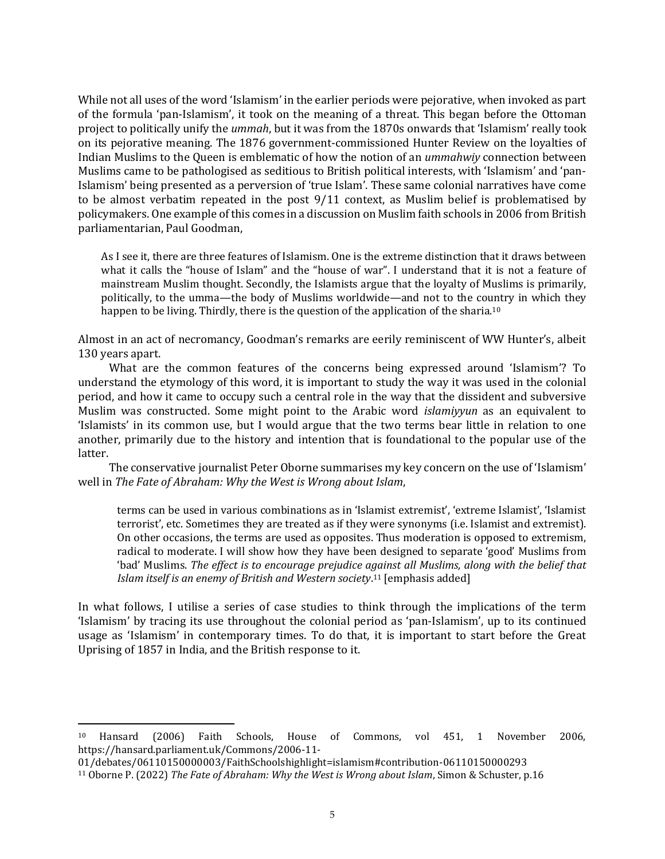While not all uses of the word 'Islamism' in the earlier periods were pejorative, when invoked as part of the formula 'pan-Islamism', it took on the meaning of a threat. This began before the Ottoman project to politically unify the *ummah*, but it was from the 1870s onwards that 'Islamism' really took on its pejorative meaning. The 1876 government-commissioned Hunter Review on the loyalties of Indian Muslims to the Queen is emblematic of how the notion of an *ummahwiy* connection between Muslims came to be pathologised as seditious to British political interests, with 'Islamism' and 'pan-Islamism' being presented as a perversion of 'true Islam'. These same colonial narratives have come to be almost verbatim repeated in the post 9/11 context, as Muslim belief is problematised by policymakers. One example of this comes in a discussion on Muslim faith schools in 2006 from British parliamentarian, Paul Goodman,

As I see it, there are three features of Islamism. One is the extreme distinction that it draws between what it calls the "house of Islam" and the "house of war". I understand that it is not a feature of mainstream Muslim thought. Secondly, the Islamists argue that the loyalty of Muslims is primarily, politically, to the umma—the body of Muslims worldwide—and not to the country in which they happen to be living. Thirdly, there is the question of the application of the sharia.<sup>10</sup>

Almost in an act of necromancy, Goodman's remarks are eerily reminiscent of WW Hunter's, albeit 130 years apart.

What are the common features of the concerns being expressed around 'Islamism'? To understand the etymology of this word, it is important to study the way it was used in the colonial period, and how it came to occupy such a central role in the way that the dissident and subversive Muslim was constructed. Some might point to the Arabic word *islamiyyun* as an equivalent to 'Islamists' in its common use, but I would argue that the two terms bear little in relation to one another, primarily due to the history and intention that is foundational to the popular use of the latter.

The conservative journalist Peter Oborne summarises my key concern on the use of 'Islamism' well in *The Fate of Abraham: Why the West is Wrong about Islam*,

terms can be used in various combinations as in 'Islamist extremist', 'extreme Islamist', 'Islamist terrorist', etc. Sometimes they are treated as if they were synonyms (i.e. Islamist and extremist). On other occasions, the terms are used as opposites. Thus moderation is opposed to extremism, radical to moderate. I will show how they have been designed to separate 'good' Muslims from 'bad' Muslims. *The effect is to encourage prejudice against all Muslims, along with the belief that Islam itself is an enemy of British and Western society*. <sup>11</sup> [emphasis added]

In what follows, I utilise a series of case studies to think through the implications of the term 'Islamism' by tracing its use throughout the colonial period as 'pan-Islamism', up to its continued usage as 'Islamism' in contemporary times. To do that, it is important to start before the Great Uprising of 1857 in India, and the British response to it.

<sup>10</sup> Hansard (2006) Faith Schools, House of Commons, vol 451, 1 November 2006, [https://hansard.parliament.uk/Commons/2006-11-](https://hansard.parliament.uk/Commons/2006-11-01/debates/06110150000003/FaithSchoolshighlight=islamism#contribution-06110150000293)

[<sup>01/</sup>debates/06110150000003/FaithSchoolshighlight=islamism#contribution-06110150000293](https://hansard.parliament.uk/Commons/2006-11-01/debates/06110150000003/FaithSchoolshighlight=islamism#contribution-06110150000293)

<sup>11</sup> Oborne P. (2022) *The Fate of Abraham: Why the West is Wrong about Islam*, Simon & Schuster, p.16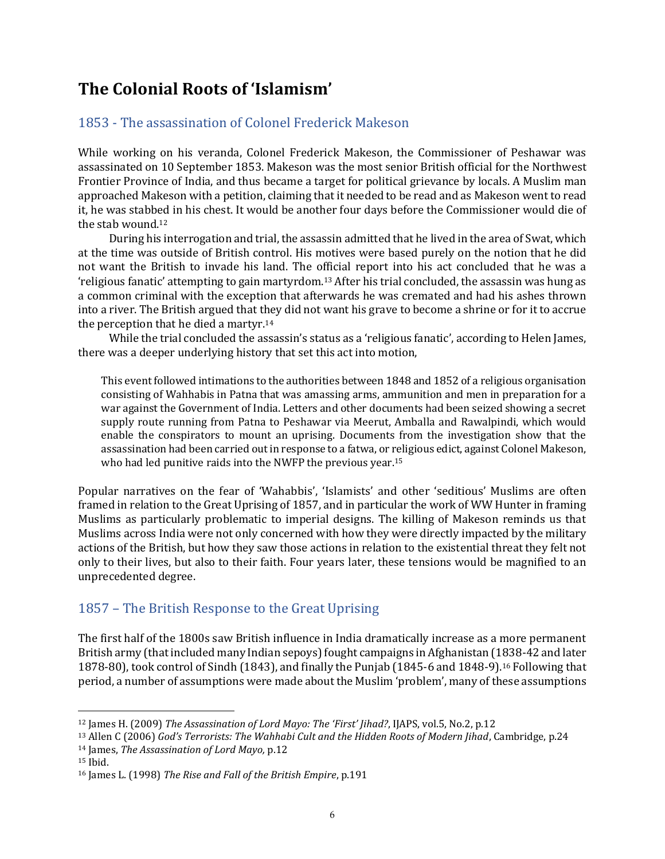# <span id="page-5-0"></span>**The Colonial Roots of 'Islamism'**

#### <span id="page-5-1"></span>1853 - The assassination of Colonel Frederick Makeson

While working on his veranda, Colonel Frederick Makeson, the Commissioner of Peshawar was assassinated on 10 September 1853. Makeson was the most senior British official for the Northwest Frontier Province of India, and thus became a target for political grievance by locals. A Muslim man approached Makeson with a petition, claiming that it needed to be read and as Makeson went to read it, he was stabbed in his chest. It would be another four days before the Commissioner would die of the stab wound.<sup>12</sup>

During his interrogation and trial, the assassin admitted that he lived in the area of Swat, which at the time was outside of British control. His motives were based purely on the notion that he did not want the British to invade his land. The official report into his act concluded that he was a 'religious fanatic' attempting to gain martyrdom.<sup>13</sup> After his trial concluded, the assassin was hung as a common criminal with the exception that afterwards he was cremated and had his ashes thrown into a river. The British argued that they did not want his grave to become a shrine or for it to accrue the perception that he died a martyr.<sup>14</sup>

While the trial concluded the assassin's status as a 'religious fanatic', according to Helen James, there was a deeper underlying history that set this act into motion,

This event followed intimations to the authorities between 1848 and 1852 of a religious organisation consisting of Wahhabis in Patna that was amassing arms, ammunition and men in preparation for a war against the Government of India. Letters and other documents had been seized showing a secret supply route running from Patna to Peshawar via Meerut, Amballa and Rawalpindi, which would enable the conspirators to mount an uprising. Documents from the investigation show that the assassination had been carried out in response to a fatwa, or religious edict, against Colonel Makeson, who had led punitive raids into the NWFP the previous year.<sup>15</sup>

Popular narratives on the fear of 'Wahabbis', 'Islamists' and other 'seditious' Muslims are often framed in relation to the Great Uprising of 1857, and in particular the work of WW Hunter in framing Muslims as particularly problematic to imperial designs. The killing of Makeson reminds us that Muslims across India were not only concerned with how they were directly impacted by the military actions of the British, but how they saw those actions in relation to the existential threat they felt not only to their lives, but also to their faith. Four years later, these tensions would be magnified to an unprecedented degree.

### <span id="page-5-2"></span>1857 – The British Response to the Great Uprising

The first half of the 1800s saw British influence in India dramatically increase as a more permanent British army (that included many Indian sepoys) fought campaigns in Afghanistan (1838-42 and later 1878-80), took control of Sindh (1843), and finally the Punjab (1845-6 and 1848-9).<sup>16</sup> Following that period, a number of assumptions were made about the Muslim 'problem', many of these assumptions

<sup>12</sup> James H. (2009) *The Assassination of Lord Mayo: The 'First' Jihad?*, IJAPS, vol.5, No.2, p.12

<sup>13</sup> Allen C (2006) *God's Terrorists: The Wahhabi Cult and the Hidden Roots of Modern Jihad*, Cambridge, p.24

<sup>14</sup> James, *The Assassination of Lord Mayo,* p.12

<sup>15</sup> Ibid.

<sup>16</sup> James L. (1998) *The Rise and Fall of the British Empire*, p.191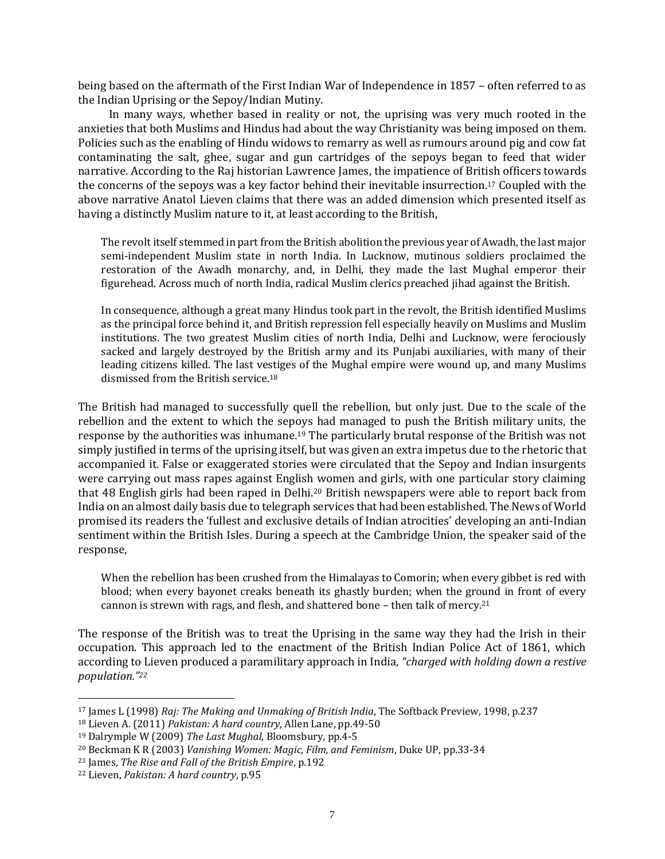being based on the aftermath of the First Indian War of Independence in 1857 – often referred to as the Indian Uprising or the Sepoy/Indian Mutiny.

In many ways, whether based in reality or not, the uprising was very much rooted in the anxieties that both Muslims and Hindus had about the way Christianity was being imposed on them. Policies such as the enabling of Hindu widows to remarry as well as rumours around pig and cow fat contaminating the salt, ghee, sugar and gun cartridges of the sepoys began to feed that wider narrative. According to the Raj historian Lawrence James, the impatience of British officers towards the concerns of the sepoys was a key factor behind their inevitable insurrection. <sup>17</sup> Coupled with the above narrative Anatol Lieven claims that there was an added dimension which presented itself as having a distinctly Muslim nature to it, at least according to the British,

The revolt itself stemmed in part from the British abolition the previous year of Awadh, the last major semi-independent Muslim state in north India. In Lucknow, mutinous soldiers proclaimed the restoration of the Awadh monarchy, and, in Delhi, they made the last Mughal emperor their figurehead. Across much of north India, radical Muslim clerics preached jihad against the British.

In consequence, although a great many Hindus took part in the revolt, the British identified Muslims as the principal force behind it, and British repression fell especially heavily on Muslims and Muslim institutions. The two greatest Muslim cities of north India, Delhi and Lucknow, were ferociously sacked and largely destroyed by the British army and its Punjabi auxiliaries, with many of their leading citizens killed. The last vestiges of the Mughal empire were wound up, and many Muslims dismissed from the British service.<sup>18</sup>

The British had managed to successfully quell the rebellion, but only just. Due to the scale of the rebellion and the extent to which the sepoys had managed to push the British military units, the response by the authorities was inhumane. <sup>19</sup> The particularly brutal response of the British was not simply justified in terms of the uprising itself, but was given an extra impetus due to the rhetoric that accompanied it. False or exaggerated stories were circulated that the Sepoy and Indian insurgents were carrying out mass rapes against English women and girls, with one particular story claiming that 48 English girls had been raped in Delhi.<sup>20</sup> British newspapers were able to report back from India on an almost daily basis due to telegraph services that had been established. The News of World promised its readers the 'fullest and exclusive details of Indian atrocities' developing an anti-Indian sentiment within the British Isles. During a speech at the Cambridge Union, the speaker said of the response,

When the rebellion has been crushed from the Himalayas to Comorin; when every gibbet is red with blood; when every bayonet creaks beneath its ghastly burden; when the ground in front of every cannon is strewn with rags, and flesh, and shattered bone – then talk of mercy.<sup>21</sup>

The response of the British was to treat the Uprising in the same way they had the Irish in their occupation. This approach led to the enactment of the British Indian Police Act of 1861, which according to Lieven produced a paramilitary approach in India, *"charged with holding down a restive population."<sup>22</sup>*

<sup>17</sup> James L (1998) *Raj: The Making and Unmaking of British India*, The Softback Preview, 1998, p.237

<sup>18</sup> Lieven A. (2011) *Pakistan: A hard country*, Allen Lane, pp.49-50

<sup>19</sup> Dalrymple W (2009) *The Last Mughal*, Bloomsbury, pp.4-5

<sup>20</sup> Beckman K R (2003) *Vanishing Women: Magic, Film, and Feminism*, Duke UP, pp.33-34

<sup>21</sup> James, *The Rise and Fall of the British Empire*, p.192

<sup>22</sup> Lieven, *Pakistan: A hard country*, p.95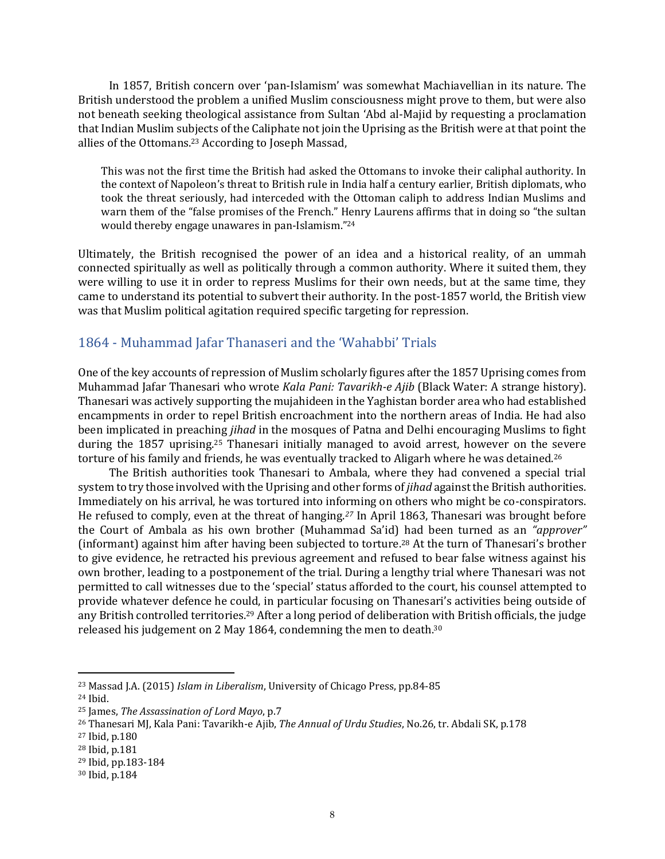In 1857, British concern over 'pan-Islamism' was somewhat Machiavellian in its nature. The British understood the problem a unified Muslim consciousness might prove to them, but were also not beneath seeking theological assistance from Sultan 'Abd al-Majid by requesting a proclamation that Indian Muslim subjects of the Caliphate not join the Uprising as the British were at that point the allies of the Ottomans.<sup>23</sup> According to Joseph Massad,

This was not the first time the British had asked the Ottomans to invoke their caliphal authority. In the context of Napoleon's threat to British rule in India half a century earlier, British diplomats, who took the threat seriously, had interceded with the Ottoman caliph to address Indian Muslims and warn them of the "false promises of the French." Henry Laurens affirms that in doing so "the sultan would thereby engage unawares in pan-Islamism."<sup>24</sup>

Ultimately, the British recognised the power of an idea and a historical reality, of an ummah connected spiritually as well as politically through a common authority. Where it suited them, they were willing to use it in order to repress Muslims for their own needs, but at the same time, they came to understand its potential to subvert their authority. In the post-1857 world, the British view was that Muslim political agitation required specific targeting for repression.

#### <span id="page-7-0"></span>1864 - Muhammad Jafar Thanaseri and the 'Wahabbi' Trials

One of the key accounts of repression of Muslim scholarly figures after the 1857 Uprising comes from Muhammad Jafar Thanesari who wrote *Kala Pani: Tavarikh-e Ajib* (Black Water: A strange history). Thanesari was actively supporting the mujahideen in the Yaghistan border area who had established encampments in order to repel British encroachment into the northern areas of India. He had also been implicated in preaching *jihad* in the mosques of Patna and Delhi encouraging Muslims to fight during the 1857 uprising.<sup>25</sup> Thanesari initially managed to avoid arrest, however on the severe torture of his family and friends, he was eventually tracked to Aligarh where he was detained.<sup>26</sup>

The British authorities took Thanesari to Ambala, where they had convened a special trial system to try those involved with the Uprising and other forms of *jihad* against the British authorities. Immediately on his arrival, he was tortured into informing on others who might be co-conspirators. He refused to comply, even at the threat of hanging.*<sup>27</sup>* In April 1863, Thanesari was brought before the Court of Ambala as his own brother (Muhammad Sa'id) had been turned as an *"approver"* (informant) against him after having been subjected to torture.<sup>28</sup> At the turn of Thanesari's brother to give evidence, he retracted his previous agreement and refused to bear false witness against his own brother, leading to a postponement of the trial. During a lengthy trial where Thanesari was not permitted to call witnesses due to the 'special' status afforded to the court, his counsel attempted to provide whatever defence he could, in particular focusing on Thanesari's activities being outside of any British controlled territories.<sup>29</sup> After a long period of deliberation with British officials, the judge released his judgement on 2 May 1864, condemning the men to death. 30

<sup>23</sup> Massad J.A. (2015) *Islam in Liberalism*, University of Chicago Press, pp.84-85

<sup>24</sup> Ibid.

<sup>25</sup> James, *The Assassination of Lord Mayo*, p.7

<sup>26</sup> Thanesari MJ, Kala Pani: Tavarikh-e Ajib, *The Annual of Urdu Studies*, No.26, tr. Abdali SK, p.178

<sup>27</sup> Ibid, p.180

<sup>28</sup> Ibid, p.181

<sup>29</sup> Ibid, pp.183-184

<sup>30</sup> Ibid, p.184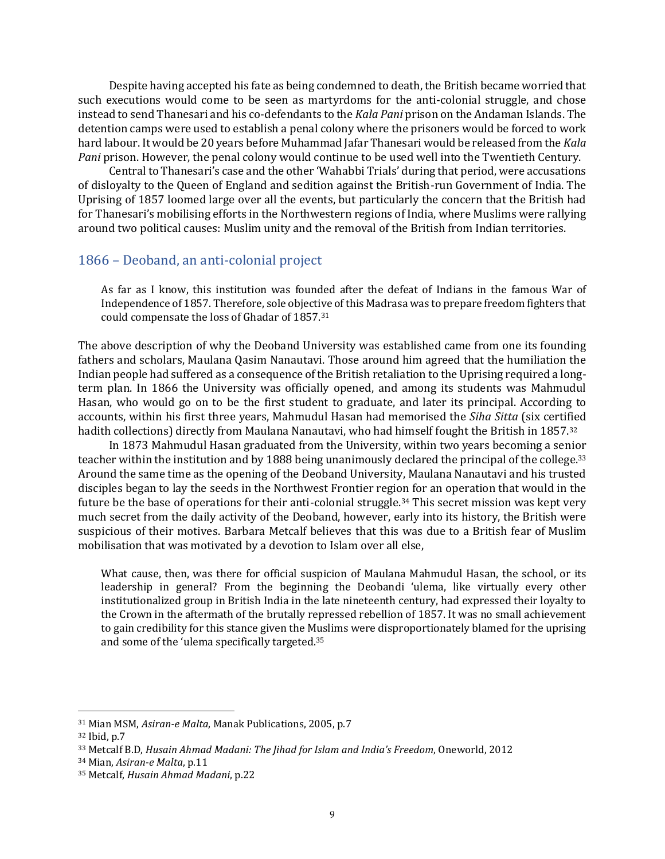Despite having accepted his fate as being condemned to death, the British became worried that such executions would come to be seen as martyrdoms for the anti-colonial struggle, and chose instead to send Thanesari and his co-defendants to the *Kala Pani* prison on the Andaman Islands. The detention camps were used to establish a penal colony where the prisoners would be forced to work hard labour. It would be 20 years before Muhammad Jafar Thanesari would be released from the *Kala Pani* prison. However, the penal colony would continue to be used well into the Twentieth Century.

Central to Thanesari's case and the other 'Wahabbi Trials' during that period, were accusations of disloyalty to the Queen of England and sedition against the British-run Government of India. The Uprising of 1857 loomed large over all the events, but particularly the concern that the British had for Thanesari's mobilising efforts in the Northwestern regions of India, where Muslims were rallying around two political causes: Muslim unity and the removal of the British from Indian territories.

#### <span id="page-8-0"></span>1866 – Deoband, an anti-colonial project

As far as I know, this institution was founded after the defeat of Indians in the famous War of Independence of 1857. Therefore, sole objective of this Madrasa was to prepare freedom fighters that could compensate the loss of Ghadar of 1857.<sup>31</sup>

The above description of why the Deoband University was established came from one its founding fathers and scholars, Maulana Qasim Nanautavi. Those around him agreed that the humiliation the Indian people had suffered as a consequence of the British retaliation to the Uprising required a longterm plan. In 1866 the University was officially opened, and among its students was Mahmudul Hasan, who would go on to be the first student to graduate, and later its principal. According to accounts, within his first three years, Mahmudul Hasan had memorised the *Siha Sitta* (six certified hadith collections) directly from Maulana Nanautavi, who had himself fought the British in 1857.<sup>32</sup>

In 1873 Mahmudul Hasan graduated from the University, within two years becoming a senior teacher within the institution and by 1888 being unanimously declared the principal of the college.<sup>33</sup> Around the same time as the opening of the Deoband University, Maulana Nanautavi and his trusted disciples began to lay the seeds in the Northwest Frontier region for an operation that would in the future be the base of operations for their anti-colonial struggle.<sup>34</sup> This secret mission was kept very much secret from the daily activity of the Deoband, however, early into its history, the British were suspicious of their motives. Barbara Metcalf believes that this was due to a British fear of Muslim mobilisation that was motivated by a devotion to Islam over all else,

What cause, then, was there for official suspicion of Maulana Mahmudul Hasan, the school, or its leadership in general? From the beginning the Deobandi 'ulema, like virtually every other institutionalized group in British India in the late nineteenth century, had expressed their loyalty to the Crown in the aftermath of the brutally repressed rebellion of 1857. It was no small achievement to gain credibility for this stance given the Muslims were disproportionately blamed for the uprising and some of the 'ulema specifically targeted.<sup>35</sup>

<sup>31</sup> Mian MSM, *Asiran-e Malta*, Manak Publications, 2005, p.7

<sup>32</sup> Ibid, p.7

<sup>33</sup> Metcalf B.D, *Husain Ahmad Madani: The Jihad for Islam and India's Freedom*, Oneworld, 2012

<sup>34</sup> Mian, *Asiran-e Malta*, p.11

<sup>35</sup> Metcalf, *Husain Ahmad Madani*, p.22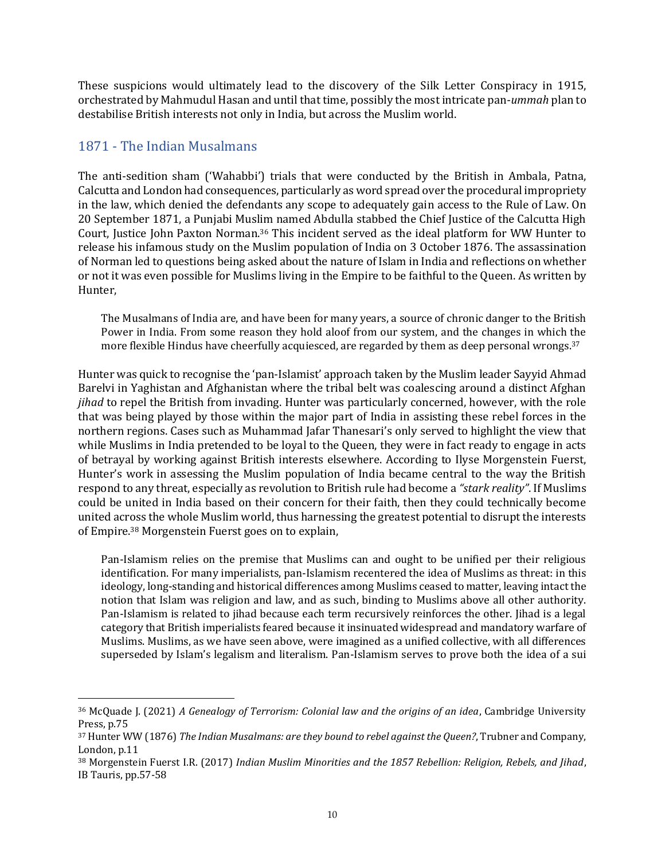These suspicions would ultimately lead to the discovery of the Silk Letter Conspiracy in 1915, orchestrated by Mahmudul Hasan and until that time, possibly the most intricate pan-*ummah* plan to destabilise British interests not only in India, but across the Muslim world.

#### <span id="page-9-0"></span>1871 - The Indian Musalmans

The anti-sedition sham ('Wahabbi') trials that were conducted by the British in Ambala, Patna, Calcutta and London had consequences, particularly as word spread over the procedural impropriety in the law, which denied the defendants any scope to adequately gain access to the Rule of Law. On 20 September 1871, a Punjabi Muslim named Abdulla stabbed the Chief Justice of the Calcutta High Court, Justice John Paxton Norman.<sup>36</sup> This incident served as the ideal platform for WW Hunter to release his infamous study on the Muslim population of India on 3 October 1876. The assassination of Norman led to questions being asked about the nature of Islam in India and reflections on whether or not it was even possible for Muslims living in the Empire to be faithful to the Queen. As written by Hunter,

The Musalmans of India are, and have been for many years, a source of chronic danger to the British Power in India. From some reason they hold aloof from our system, and the changes in which the more flexible Hindus have cheerfully acquiesced, are regarded by them as deep personal wrongs.<sup>37</sup>

Hunter was quick to recognise the 'pan-Islamist' approach taken by the Muslim leader Sayyid Ahmad Barelvi in Yaghistan and Afghanistan where the tribal belt was coalescing around a distinct Afghan *jihad* to repel the British from invading. Hunter was particularly concerned, however, with the role that was being played by those within the major part of India in assisting these rebel forces in the northern regions. Cases such as Muhammad Jafar Thanesari's only served to highlight the view that while Muslims in India pretended to be loyal to the Queen, they were in fact ready to engage in acts of betrayal by working against British interests elsewhere. According to Ilyse Morgenstein Fuerst, Hunter's work in assessing the Muslim population of India became central to the way the British respond to any threat, especially as revolution to British rule had become a *"stark reality"*. If Muslims could be united in India based on their concern for their faith, then they could technically become united across the whole Muslim world, thus harnessing the greatest potential to disrupt the interests of Empire.<sup>38</sup> Morgenstein Fuerst goes on to explain,

Pan-Islamism relies on the premise that Muslims can and ought to be unified per their religious identification. For many imperialists, pan-Islamism recentered the idea of Muslims as threat: in this ideology, long-standing and historical differences among Muslims ceased to matter, leaving intact the notion that Islam was religion and law, and as such, binding to Muslims above all other authority. Pan-Islamism is related to jihad because each term recursively reinforces the other. Jihad is a legal category that British imperialists feared because it insinuated widespread and mandatory warfare of Muslims. Muslims, as we have seen above, were imagined as a unified collective, with all differences superseded by Islam's legalism and literalism. Pan-Islamism serves to prove both the idea of a sui

<sup>36</sup> McQuade J. (2021) *A Genealogy of Terrorism: Colonial law and the origins of an idea*, Cambridge University Press, p.75

<sup>37</sup> Hunter WW (1876) *The Indian Musalmans: are they bound to rebel against the Queen?*, Trubner and Company, London, p.11

<sup>38</sup> Morgenstein Fuerst I.R. (2017) *Indian Muslim Minorities and the 1857 Rebellion: Religion, Rebels, and Jihad*, IB Tauris, pp.57-58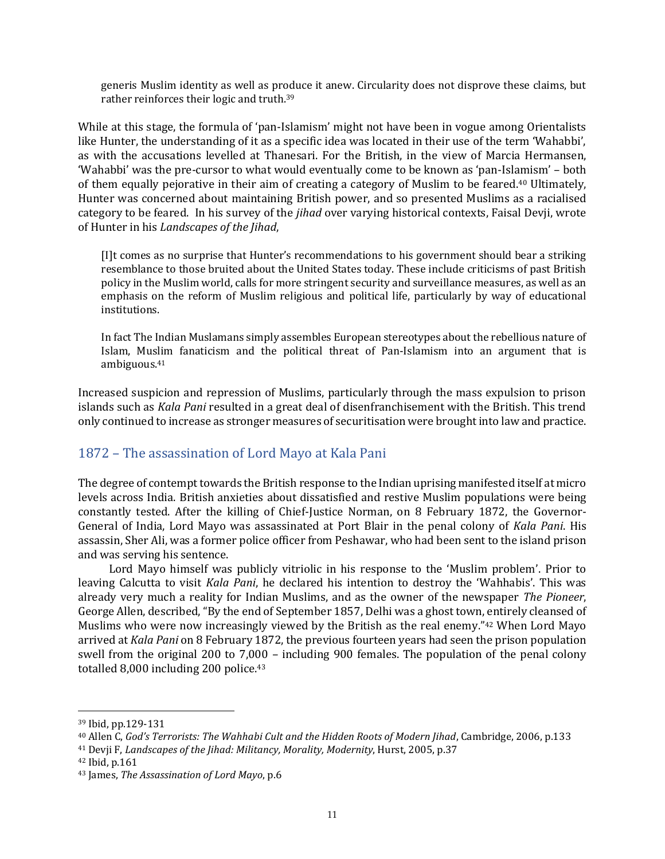generis Muslim identity as well as produce it anew. Circularity does not disprove these claims, but rather reinforces their logic and truth.<sup>39</sup>

While at this stage, the formula of 'pan-Islamism' might not have been in vogue among Orientalists like Hunter, the understanding of it as a specific idea was located in their use of the term 'Wahabbi', as with the accusations levelled at Thanesari. For the British, in the view of Marcia Hermansen, 'Wahabbi' was the pre-cursor to what would eventually come to be known as 'pan-Islamism' – both of them equally pejorative in their aim of creating a category of Muslim to be feared.<sup>40</sup> Ultimately, Hunter was concerned about maintaining British power, and so presented Muslims as a racialised category to be feared. In his survey of the *jihad* over varying historical contexts, Faisal Devji, wrote of Hunter in his *Landscapes of the Jihad*,

[I]t comes as no surprise that Hunter's recommendations to his government should bear a striking resemblance to those bruited about the United States today. These include criticisms of past British policy in the Muslim world, calls for more stringent security and surveillance measures, as well as an emphasis on the reform of Muslim religious and political life, particularly by way of educational institutions.

In fact The Indian Muslamans simply assembles European stereotypes about the rebellious nature of Islam, Muslim fanaticism and the political threat of Pan-Islamism into an argument that is ambiguous.<sup>41</sup>

Increased suspicion and repression of Muslims, particularly through the mass expulsion to prison islands such as *Kala Pani* resulted in a great deal of disenfranchisement with the British. This trend only continued to increase as stronger measures of securitisation were brought into law and practice.

### <span id="page-10-0"></span>1872 – The assassination of Lord Mayo at Kala Pani

The degree of contempt towards the British response to the Indian uprising manifested itself at micro levels across India. British anxieties about dissatisfied and restive Muslim populations were being constantly tested. After the killing of Chief-Justice Norman, on 8 February 1872, the Governor-General of India, Lord Mayo was assassinated at Port Blair in the penal colony of *Kala Pani*. His assassin, Sher Ali, was a former police officer from Peshawar, who had been sent to the island prison and was serving his sentence.

Lord Mayo himself was publicly vitriolic in his response to the 'Muslim problem'. Prior to leaving Calcutta to visit *Kala Pani*, he declared his intention to destroy the 'Wahhabis'. This was already very much a reality for Indian Muslims, and as the owner of the newspaper *The Pioneer*, George Allen, described, "By the end of September 1857, Delhi was a ghost town, entirely cleansed of Muslims who were now increasingly viewed by the British as the real enemy."<sup>42</sup> When Lord Mayo arrived at *Kala Pani* on 8 February 1872, the previous fourteen years had seen the prison population swell from the original 200 to 7,000 – including 900 females. The population of the penal colony totalled 8,000 including 200 police.<sup>43</sup>

<sup>39</sup> Ibid, pp.129-131

<sup>40</sup> Allen C, *God's Terrorists: The Wahhabi Cult and the Hidden Roots of Modern Jihad*, Cambridge, 2006, p.133

<sup>41</sup> Devji F, *Landscapes of the Jihad: Militancy, Morality, Modernity*, Hurst, 2005, p.37

<sup>42</sup> Ibid, p.161

<sup>43</sup> James, *The Assassination of Lord Mayo*, p.6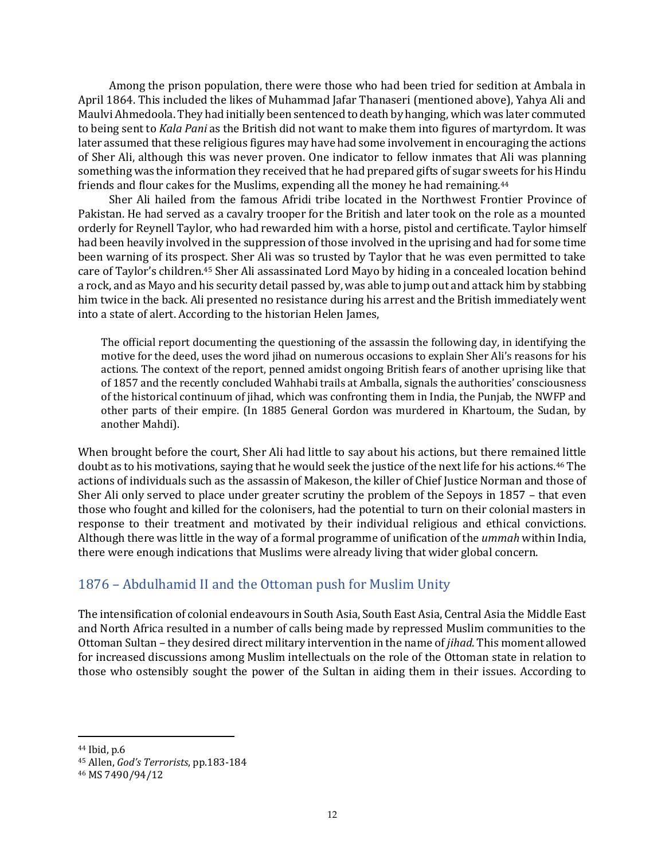Among the prison population, there were those who had been tried for sedition at Ambala in April 1864. This included the likes of Muhammad Jafar Thanaseri (mentioned above), Yahya Ali and Maulvi Ahmedoola. They had initially been sentenced to death by hanging, which was later commuted to being sent to *Kala Pani* as the British did not want to make them into figures of martyrdom. It was later assumed that these religious figures may have had some involvement in encouraging the actions of Sher Ali, although this was never proven. One indicator to fellow inmates that Ali was planning something was the information they received that he had prepared gifts of sugar sweets for his Hindu friends and flour cakes for the Muslims, expending all the money he had remaining.<sup>44</sup>

Sher Ali hailed from the famous Afridi tribe located in the Northwest Frontier Province of Pakistan. He had served as a cavalry trooper for the British and later took on the role as a mounted orderly for Reynell Taylor, who had rewarded him with a horse, pistol and certificate. Taylor himself had been heavily involved in the suppression of those involved in the uprising and had for some time been warning of its prospect. Sher Ali was so trusted by Taylor that he was even permitted to take care of Taylor's children.<sup>45</sup> Sher Ali assassinated Lord Mayo by hiding in a concealed location behind a rock, and as Mayo and his security detail passed by, was able to jump out and attack him by stabbing him twice in the back. Ali presented no resistance during his arrest and the British immediately went into a state of alert. According to the historian Helen James,

The official report documenting the questioning of the assassin the following day, in identifying the motive for the deed, uses the word jihad on numerous occasions to explain Sher Ali's reasons for his actions. The context of the report, penned amidst ongoing British fears of another uprising like that of 1857 and the recently concluded Wahhabi trails at Amballa, signals the authorities' consciousness of the historical continuum of jihad, which was confronting them in India, the Punjab, the NWFP and other parts of their empire. (In 1885 General Gordon was murdered in Khartoum, the Sudan, by another Mahdi).

When brought before the court, Sher Ali had little to say about his actions, but there remained little doubt as to his motivations, saying that he would seek the justice of the next life for his actions.<sup>46</sup> The actions of individuals such as the assassin of Makeson, the killer of Chief Justice Norman and those of Sher Ali only served to place under greater scrutiny the problem of the Sepoys in 1857 – that even those who fought and killed for the colonisers, had the potential to turn on their colonial masters in response to their treatment and motivated by their individual religious and ethical convictions. Although there was little in the way of a formal programme of unification of the *ummah* within India, there were enough indications that Muslims were already living that wider global concern.

### <span id="page-11-0"></span>1876 – Abdulhamid II and the Ottoman push for Muslim Unity

The intensification of colonial endeavours in South Asia, South East Asia, Central Asia the Middle East and North Africa resulted in a number of calls being made by repressed Muslim communities to the Ottoman Sultan – they desired direct military intervention in the name of *jihad*. This moment allowed for increased discussions among Muslim intellectuals on the role of the Ottoman state in relation to those who ostensibly sought the power of the Sultan in aiding them in their issues. According to

<sup>44</sup> Ibid, p.6

<sup>45</sup> Allen, *God's Terrorists*, pp.183-184

<sup>46</sup> MS 7490/94/12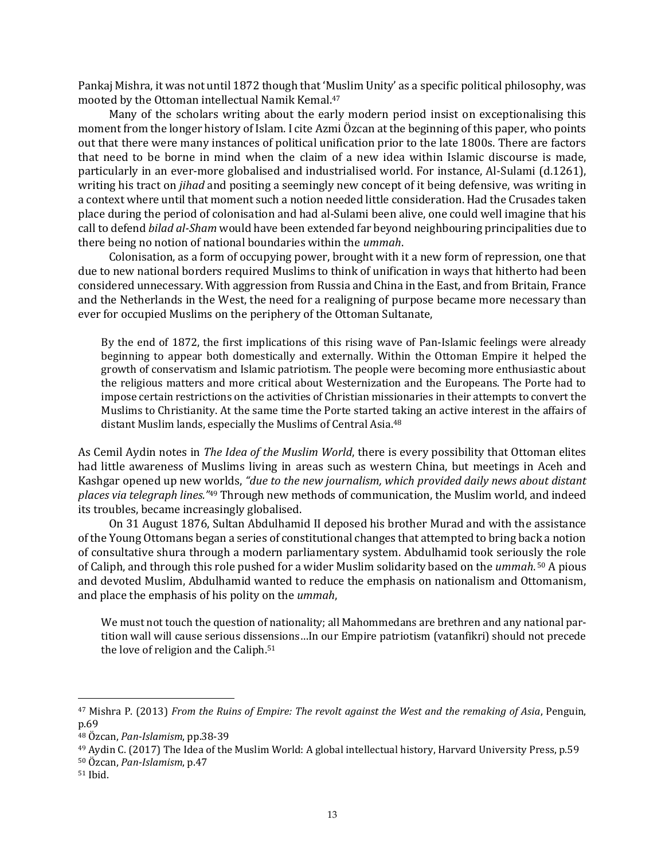Pankaj Mishra, it was not until 1872 though that 'Muslim Unity' as a specific political philosophy, was mooted by the Ottoman intellectual Namik Kemal.<sup>47</sup>

Many of the scholars writing about the early modern period insist on exceptionalising this moment from the longer history of Islam. I cite Azmi Özcan at the beginning of this paper, who points out that there were many instances of political unification prior to the late 1800s. There are factors that need to be borne in mind when the claim of a new idea within Islamic discourse is made, particularly in an ever-more globalised and industrialised world. For instance, Al-Sulami (d.1261), writing his tract on *jihad* and positing a seemingly new concept of it being defensive, was writing in a context where until that moment such a notion needed little consideration. Had the Crusades taken place during the period of colonisation and had al-Sulami been alive, one could well imagine that his call to defend *bilad al-Sham* would have been extended far beyond neighbouring principalities due to there being no notion of national boundaries within the *ummah*.

Colonisation, as a form of occupying power, brought with it a new form of repression, one that due to new national borders required Muslims to think of unification in ways that hitherto had been considered unnecessary. With aggression from Russia and China in the East, and from Britain, France and the Netherlands in the West, the need for a realigning of purpose became more necessary than ever for occupied Muslims on the periphery of the Ottoman Sultanate,

By the end of 1872, the first implications of this rising wave of Pan-Islamic feelings were already beginning to appear both domestically and externally. Within the Ottoman Empire it helped the growth of conservatism and Islamic patriotism. The people were becoming more enthusiastic about the religious matters and more critical about Westernization and the Europeans. The Porte had to impose certain restrictions on the activities of Christian missionaries in their attempts to convert the Muslims to Christianity. At the same time the Porte started taking an active interest in the affairs of distant Muslim lands, especially the Muslims of Central Asia.<sup>48</sup>

As Cemil Aydin notes in *The Idea of the Muslim World*, there is every possibility that Ottoman elites had little awareness of Muslims living in areas such as western China, but meetings in Aceh and Kashgar opened up new worlds, *"due to the new journalism, which provided daily news about distant places via telegraph lines."*<sup>49</sup> Through new methods of communication, the Muslim world, and indeed its troubles, became increasingly globalised.

On 31 August 1876, Sultan Abdulhamid II deposed his brother Murad and with the assistance of the Young Ottomans began a series of constitutional changes that attempted to bring back a notion of consultative shura through a modern parliamentary system. Abdulhamid took seriously the role of Caliph, and through this role pushed for a wider Muslim solidarity based on the *ummah*. <sup>50</sup> A pious and devoted Muslim, Abdulhamid wanted to reduce the emphasis on nationalism and Ottomanism, and place the emphasis of his polity on the *ummah*,

We must not touch the question of nationality; all Mahommedans are brethren and any national partition wall will cause serious dissensions…In our Empire patriotism (vatanfikri) should not precede the love of religion and the Caliph. 51

<sup>47</sup> Mishra P. (2013) *From the Ruins of Empire: The revolt against the West and the remaking of Asia*, Penguin, p.69

<sup>48</sup> Özcan, *Pan-Islamism*, pp.38-39

<sup>49</sup> Aydin C. (2017) The Idea of the Muslim World: A global intellectual history, Harvard University Press, p.59

<sup>50</sup> Özcan, *Pan-Islamism*, p.47

<sup>51</sup> Ibid.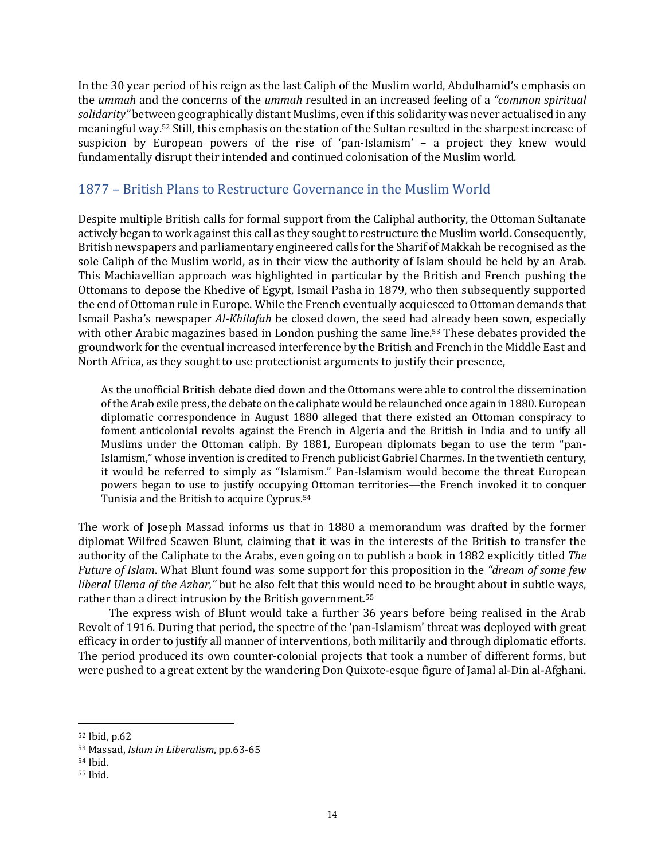In the 30 year period of his reign as the last Caliph of the Muslim world, Abdulhamid's emphasis on the *ummah* and the concerns of the *ummah* resulted in an increased feeling of a *"common spiritual solidarity"* between geographically distant Muslims, even if this solidarity was never actualised in any meaningful way.<sup>52</sup> Still, this emphasis on the station of the Sultan resulted in the sharpest increase of suspicion by European powers of the rise of 'pan-Islamism' – a project they knew would fundamentally disrupt their intended and continued colonisation of the Muslim world.

### <span id="page-13-0"></span>1877 – British Plans to Restructure Governance in the Muslim World

Despite multiple British calls for formal support from the Caliphal authority, the Ottoman Sultanate actively began to work against this call as they sought to restructure the Muslim world. Consequently, British newspapers and parliamentary engineered calls for the Sharif of Makkah be recognised as the sole Caliph of the Muslim world, as in their view the authority of Islam should be held by an Arab. This Machiavellian approach was highlighted in particular by the British and French pushing the Ottomans to depose the Khedive of Egypt, Ismail Pasha in 1879, who then subsequently supported the end of Ottoman rule in Europe. While the French eventually acquiesced to Ottoman demands that Ismail Pasha's newspaper *Al-Khilafah* be closed down, the seed had already been sown, especially with other Arabic magazines based in London pushing the same line.<sup>53</sup> These debates provided the groundwork for the eventual increased interference by the British and French in the Middle East and North Africa, as they sought to use protectionist arguments to justify their presence,

As the unofficial British debate died down and the Ottomans were able to control the dissemination of the Arab exile press, the debate on the caliphate would be relaunched once again in 1880. European diplomatic correspondence in August 1880 alleged that there existed an Ottoman conspiracy to foment anticolonial revolts against the French in Algeria and the British in India and to unify all Muslims under the Ottoman caliph. By 1881, European diplomats began to use the term "pan-Islamism," whose invention is credited to French publicist Gabriel Charmes. In the twentieth century, it would be referred to simply as "Islamism." Pan-Islamism would become the threat European powers began to use to justify occupying Ottoman territories—the French invoked it to conquer Tunisia and the British to acquire Cyprus.<sup>54</sup>

The work of Joseph Massad informs us that in 1880 a memorandum was drafted by the former diplomat Wilfred Scawen Blunt, claiming that it was in the interests of the British to transfer the authority of the Caliphate to the Arabs, even going on to publish a book in 1882 explicitly titled *The Future of Islam*. What Blunt found was some support for this proposition in the *"dream of some few liberal Ulema of the Azhar,"* but he also felt that this would need to be brought about in subtle ways, rather than a direct intrusion by the British government. 55

The express wish of Blunt would take a further 36 years before being realised in the Arab Revolt of 1916. During that period, the spectre of the 'pan-Islamism' threat was deployed with great efficacy in order to justify all manner of interventions, both militarily and through diplomatic efforts. The period produced its own counter-colonial projects that took a number of different forms, but were pushed to a great extent by the wandering Don Quixote-esque figure of Jamal al-Din al-Afghani.

<sup>52</sup> Ibid, p.62

<sup>53</sup> Massad, *Islam in Liberalism*, pp.63-65

<sup>54</sup> Ibid.

<sup>55</sup> Ibid.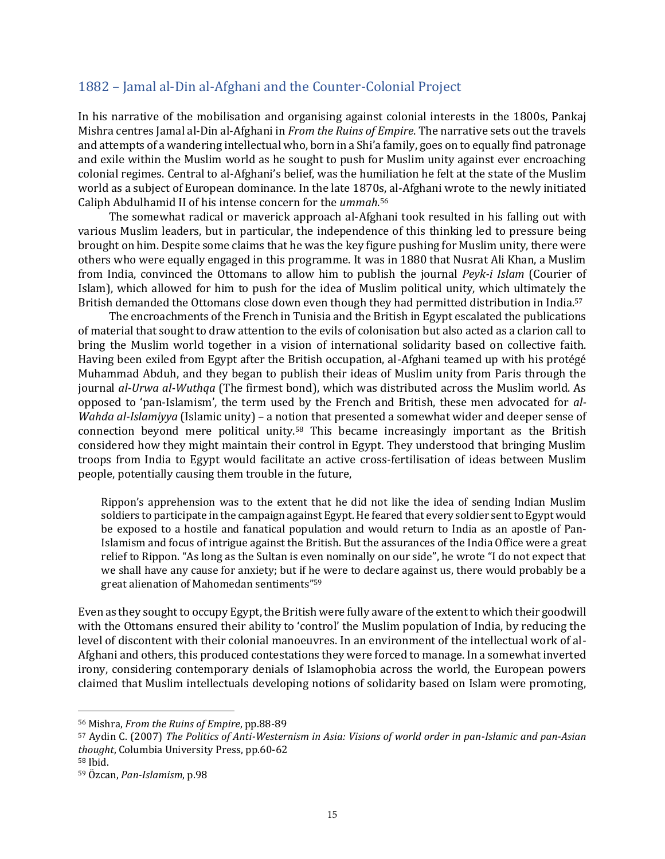#### <span id="page-14-0"></span>1882 – Jamal al-Din al-Afghani and the Counter-Colonial Project

In his narrative of the mobilisation and organising against colonial interests in the 1800s, Pankaj Mishra centres Jamal al-Din al-Afghani in *From the Ruins of Empire*. The narrative sets out the travels and attempts of a wandering intellectual who, born in a Shi'a family, goes on to equally find patronage and exile within the Muslim world as he sought to push for Muslim unity against ever encroaching colonial regimes. Central to al-Afghani's belief, was the humiliation he felt at the state of the Muslim world as a subject of European dominance. In the late 1870s, al-Afghani wrote to the newly initiated Caliph Abdulhamid II of his intense concern for the *ummah*. 56

The somewhat radical or maverick approach al-Afghani took resulted in his falling out with various Muslim leaders, but in particular, the independence of this thinking led to pressure being brought on him. Despite some claims that he was the key figure pushing for Muslim unity, there were others who were equally engaged in this programme. It was in 1880 that Nusrat Ali Khan, a Muslim from India, convinced the Ottomans to allow him to publish the journal *Peyk-i Islam* (Courier of Islam), which allowed for him to push for the idea of Muslim political unity, which ultimately the British demanded the Ottomans close down even though they had permitted distribution in India.<sup>57</sup>

The encroachments of the French in Tunisia and the British in Egypt escalated the publications of material that sought to draw attention to the evils of colonisation but also acted as a clarion call to bring the Muslim world together in a vision of international solidarity based on collective faith. Having been exiled from Egypt after the British occupation, al-Afghani teamed up with his protégé Muhammad Abduh, and they began to publish their ideas of Muslim unity from Paris through the journal *al-Urwa al-Wuthqa* (The firmest bond), which was distributed across the Muslim world. As opposed to 'pan-Islamism', the term used by the French and British, these men advocated for *al-Wahda al-Islamiyya* (Islamic unity) – a notion that presented a somewhat wider and deeper sense of connection beyond mere political unity.<sup>58</sup> This became increasingly important as the British considered how they might maintain their control in Egypt. They understood that bringing Muslim troops from India to Egypt would facilitate an active cross-fertilisation of ideas between Muslim people, potentially causing them trouble in the future,

Rippon's apprehension was to the extent that he did not like the idea of sending Indian Muslim soldiers to participate in the campaign against Egypt. He feared that every soldier sent to Egypt would be exposed to a hostile and fanatical population and would return to India as an apostle of Pan-Islamism and focus of intrigue against the British. But the assurances of the India Office were a great relief to Rippon. "As long as the Sultan is even nominally on our side", he wrote "I do not expect that we shall have any cause for anxiety; but if he were to declare against us, there would probably be a great alienation of Mahomedan sentiments"<sup>59</sup>

Even as they sought to occupy Egypt, the British were fully aware of the extent to which their goodwill with the Ottomans ensured their ability to 'control' the Muslim population of India, by reducing the level of discontent with their colonial manoeuvres. In an environment of the intellectual work of al-Afghani and others, this produced contestations they were forced to manage. In a somewhat inverted irony, considering contemporary denials of Islamophobia across the world, the European powers claimed that Muslim intellectuals developing notions of solidarity based on Islam were promoting,

<sup>56</sup> Mishra, *From the Ruins of Empire*, pp.88-89

<sup>57</sup> Aydin C. (2007) *The Politics of Anti-Westernism in Asia: Visions of world order in pan-Islamic and pan-Asian thought*, Columbia University Press, pp.60-62

<sup>58</sup> Ibid.

<sup>59</sup> Özcan, *Pan-Islamism*, p.98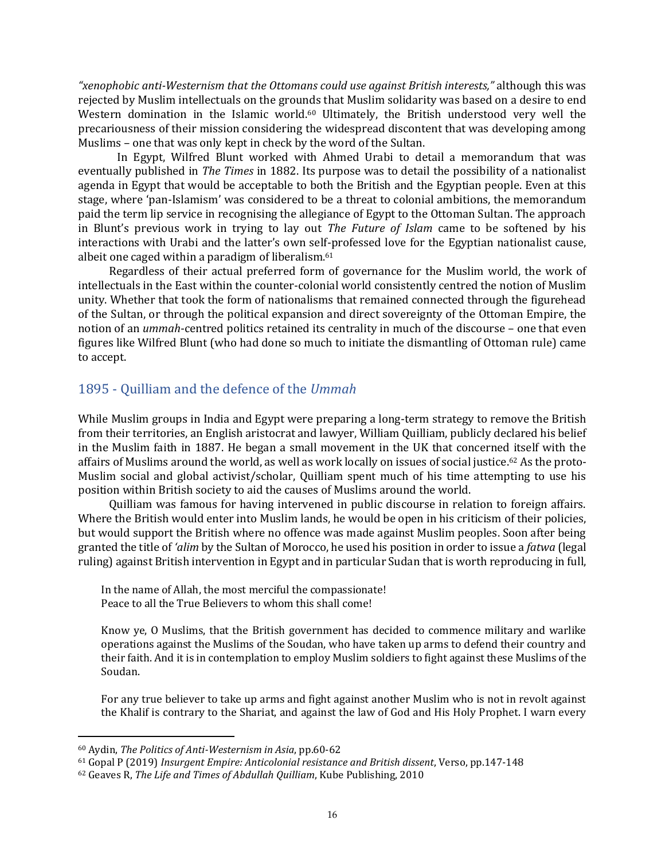*"xenophobic anti-Westernism that the Ottomans could use against British interests,"* although this was rejected by Muslim intellectuals on the grounds that Muslim solidarity was based on a desire to end Western domination in the Islamic world.<sup>60</sup> Ultimately, the British understood very well the precariousness of their mission considering the widespread discontent that was developing among Muslims – one that was only kept in check by the word of the Sultan.

In Egypt, Wilfred Blunt worked with Ahmed Urabi to detail a memorandum that was eventually published in *The Times* in 1882. Its purpose was to detail the possibility of a nationalist agenda in Egypt that would be acceptable to both the British and the Egyptian people. Even at this stage, where 'pan-Islamism' was considered to be a threat to colonial ambitions, the memorandum paid the term lip service in recognising the allegiance of Egypt to the Ottoman Sultan. The approach in Blunt's previous work in trying to lay out *The Future of Islam* came to be softened by his interactions with Urabi and the latter's own self-professed love for the Egyptian nationalist cause, albeit one caged within a paradigm of liberalism. 61

Regardless of their actual preferred form of governance for the Muslim world, the work of intellectuals in the East within the counter-colonial world consistently centred the notion of Muslim unity. Whether that took the form of nationalisms that remained connected through the figurehead of the Sultan, or through the political expansion and direct sovereignty of the Ottoman Empire, the notion of an *ummah*-centred politics retained its centrality in much of the discourse – one that even figures like Wilfred Blunt (who had done so much to initiate the dismantling of Ottoman rule) came to accept.

#### <span id="page-15-0"></span>1895 - Quilliam and the defence of the *Ummah*

While Muslim groups in India and Egypt were preparing a long-term strategy to remove the British from their territories, an English aristocrat and lawyer, William Quilliam, publicly declared his belief in the Muslim faith in 1887. He began a small movement in the UK that concerned itself with the affairs of Muslims around the world, as well as work locally on issues of social justice.<sup>62</sup> As the proto-Muslim social and global activist/scholar, Quilliam spent much of his time attempting to use his position within British society to aid the causes of Muslims around the world.

Quilliam was famous for having intervened in public discourse in relation to foreign affairs. Where the British would enter into Muslim lands, he would be open in his criticism of their policies, but would support the British where no offence was made against Muslim peoples. Soon after being granted the title of *'alim* by the Sultan of Morocco, he used his position in order to issue a *fatwa* (legal ruling) against British intervention in Egypt and in particular Sudan that is worth reproducing in full,

In the name of Allah, the most merciful the compassionate! Peace to all the True Believers to whom this shall come!

Know ye, O Muslims, that the British government has decided to commence military and warlike operations against the Muslims of the Soudan, who have taken up arms to defend their country and their faith. And it is in contemplation to employ Muslim soldiers to fight against these Muslims of the Soudan.

For any true believer to take up arms and fight against another Muslim who is not in revolt against the Khalif is contrary to the Shariat, and against the law of God and His Holy Prophet. I warn every

<sup>60</sup> Aydin, *The Politics of Anti-Westernism in Asia*, pp.60-62

<sup>61</sup> Gopal P (2019) *Insurgent Empire: Anticolonial resistance and British dissent*, Verso, pp.147-148

<sup>62</sup> Geaves R, *The Life and Times of Abdullah Quilliam*, Kube Publishing, 2010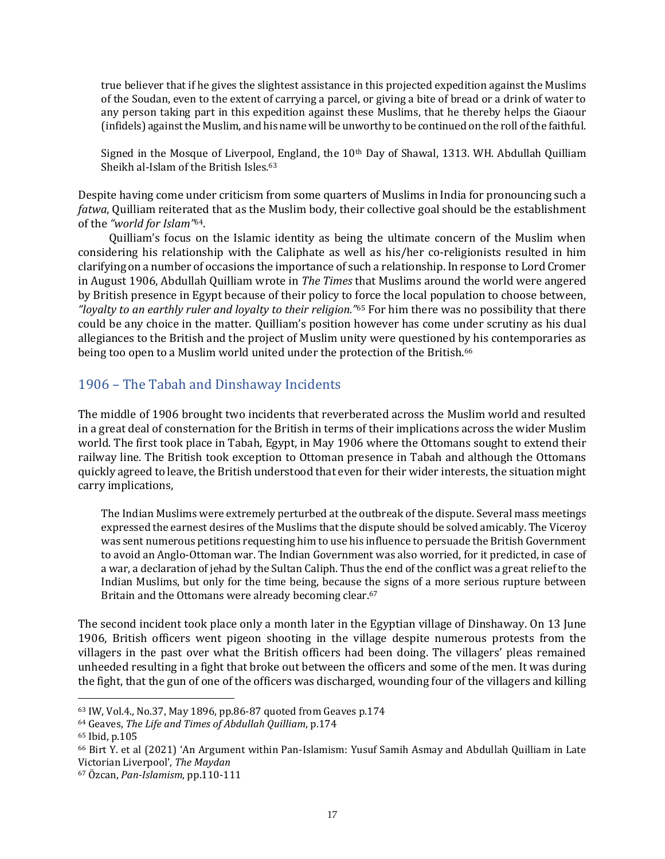true believer that if he gives the slightest assistance in this projected expedition against the Muslims of the Soudan, even to the extent of carrying a parcel, or giving a bite of bread or a drink of water to any person taking part in this expedition against these Muslims, that he thereby helps the Giaour (infidels) against the Muslim, and his name will be unworthy to be continued on the roll of the faithful.

Signed in the Mosque of Liverpool, England, the 10th Day of Shawal, 1313. WH. Abdullah Quilliam Sheikh al-Islam of the British Isles.<sup>63</sup>

Despite having come under criticism from some quarters of Muslims in India for pronouncing such a *fatwa*, Quilliam reiterated that as the Muslim body, their collective goal should be the establishment of the *"world for Islam"*64.

Quilliam's focus on the Islamic identity as being the ultimate concern of the Muslim when considering his relationship with the Caliphate as well as his/her co-religionists resulted in him clarifying on a number of occasions the importance of such a relationship. In response to Lord Cromer in August 1906, Abdullah Quilliam wrote in *The Times* that Muslims around the world were angered by British presence in Egypt because of their policy to force the local population to choose between, *"loyalty to an earthly ruler and loyalty to their religion."*<sup>65</sup> For him there was no possibility that there could be any choice in the matter. Quilliam's position however has come under scrutiny as his dual allegiances to the British and the project of Muslim unity were questioned by his contemporaries as being too open to a Muslim world united under the protection of the British.<sup>66</sup>

### <span id="page-16-0"></span>1906 – The Tabah and Dinshaway Incidents

The middle of 1906 brought two incidents that reverberated across the Muslim world and resulted in a great deal of consternation for the British in terms of their implications across the wider Muslim world. The first took place in Tabah, Egypt, in May 1906 where the Ottomans sought to extend their railway line. The British took exception to Ottoman presence in Tabah and although the Ottomans quickly agreed to leave, the British understood that even for their wider interests, the situation might carry implications,

The Indian Muslims were extremely perturbed at the outbreak of the dispute. Several mass meetings expressed the earnest desires of the Muslims that the dispute should be solved amicably. The Viceroy was sent numerous petitions requesting him to use his influence to persuade the British Government to avoid an Anglo-Ottoman war. The Indian Government was also worried, for it predicted, in case of a war, a declaration of jehad by the Sultan Caliph. Thus the end of the conflict was a great relief to the Indian Muslims, but only for the time being, because the signs of a more serious rupture between Britain and the Ottomans were already becoming clear.<sup>67</sup>

The second incident took place only a month later in the Egyptian village of Dinshaway. On 13 June 1906, British officers went pigeon shooting in the village despite numerous protests from the villagers in the past over what the British officers had been doing. The villagers' pleas remained unheeded resulting in a fight that broke out between the officers and some of the men. It was during the fight, that the gun of one of the officers was discharged, wounding four of the villagers and killing

<sup>63</sup> IW, Vol.4., No.37, May 1896, pp.86-87 quoted from Geaves p.174

<sup>64</sup> Geaves, *The Life and Times of Abdullah Quilliam*, p.174

<sup>65</sup> Ibid, p.105

<sup>66</sup> Birt Y. et al (2021) 'An Argument within Pan-Islamism: Yusuf Samih Asmay and Abdullah Quilliam in Late Victorian Liverpool', *The Maydan*

<sup>67</sup> Özcan, *Pan-Islamism*, pp.110-111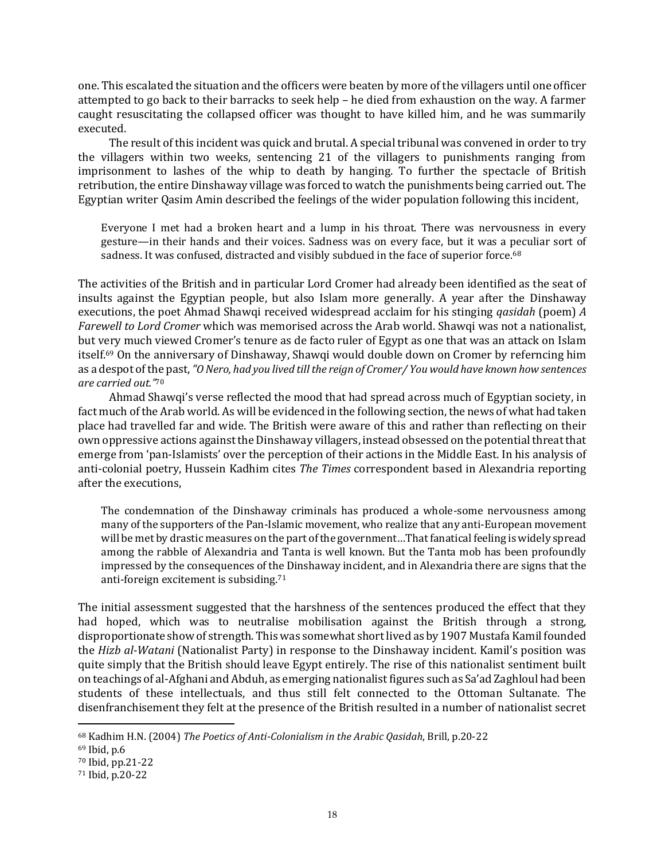one. This escalated the situation and the officers were beaten by more of the villagers until one officer attempted to go back to their barracks to seek help – he died from exhaustion on the way. A farmer caught resuscitating the collapsed officer was thought to have killed him, and he was summarily executed.

The result of this incident was quick and brutal. A special tribunal was convened in order to try the villagers within two weeks, sentencing 21 of the villagers to punishments ranging from imprisonment to lashes of the whip to death by hanging. To further the spectacle of British retribution, the entire Dinshaway village was forced to watch the punishments being carried out. The Egyptian writer Qasim Amin described the feelings of the wider population following this incident,

Everyone I met had a broken heart and a lump in his throat. There was nervousness in every gesture—in their hands and their voices. Sadness was on every face, but it was a peculiar sort of sadness. It was confused, distracted and visibly subdued in the face of superior force.<sup>68</sup>

The activities of the British and in particular Lord Cromer had already been identified as the seat of insults against the Egyptian people, but also Islam more generally. A year after the Dinshaway executions, the poet Ahmad Shawqi received widespread acclaim for his stinging *qasidah* (poem) *A Farewell to Lord Cromer* which was memorised across the Arab world. Shawqi was not a nationalist, but very much viewed Cromer's tenure as de facto ruler of Egypt as one that was an attack on Islam itself.<sup>69</sup> On the anniversary of Dinshaway, Shawqi would double down on Cromer by referncing him as a despot of the past,*"O Nero, had you lived till the reign of Cromer/ You would have known how sentences are carried out."* 70

Ahmad Shawqi's verse reflected the mood that had spread across much of Egyptian society, in fact much of the Arab world. As will be evidenced in the following section, the news of what had taken place had travelled far and wide. The British were aware of this and rather than reflecting on their own oppressive actions against the Dinshaway villagers, instead obsessed on the potential threat that emerge from 'pan-Islamists' over the perception of their actions in the Middle East. In his analysis of anti-colonial poetry, Hussein Kadhim cites *The Times* correspondent based in Alexandria reporting after the executions,

The condemnation of the Dinshaway criminals has produced a whole-some nervousness among many of the supporters of the Pan-Islamic movement, who realize that any anti-European movement will be met by drastic measures on the part of the government…That fanatical feeling is widely spread among the rabble of Alexandria and Tanta is well known. But the Tanta mob has been profoundly impressed by the consequences of the Dinshaway incident, and in Alexandria there are signs that the anti-foreign excitement is subsiding.<sup>71</sup>

The initial assessment suggested that the harshness of the sentences produced the effect that they had hoped, which was to neutralise mobilisation against the British through a strong, disproportionate show of strength. This was somewhat short lived as by 1907 Mustafa Kamil founded the *Hizb al-Watani* (Nationalist Party) in response to the Dinshaway incident. Kamil's position was quite simply that the British should leave Egypt entirely. The rise of this nationalist sentiment built on teachings of al-Afghani and Abduh, as emerging nationalist figures such as Sa'ad Zaghloul had been students of these intellectuals, and thus still felt connected to the Ottoman Sultanate. The disenfranchisement they felt at the presence of the British resulted in a number of nationalist secret

<sup>68</sup> Kadhim H.N. (2004) *The Poetics of Anti-Colonialism in the Arabic Qasidah*, Brill, p.20-22

<sup>69</sup> Ibid, p.6

<sup>70</sup> Ibid, pp.21-22

<sup>71</sup> Ibid, p.20-22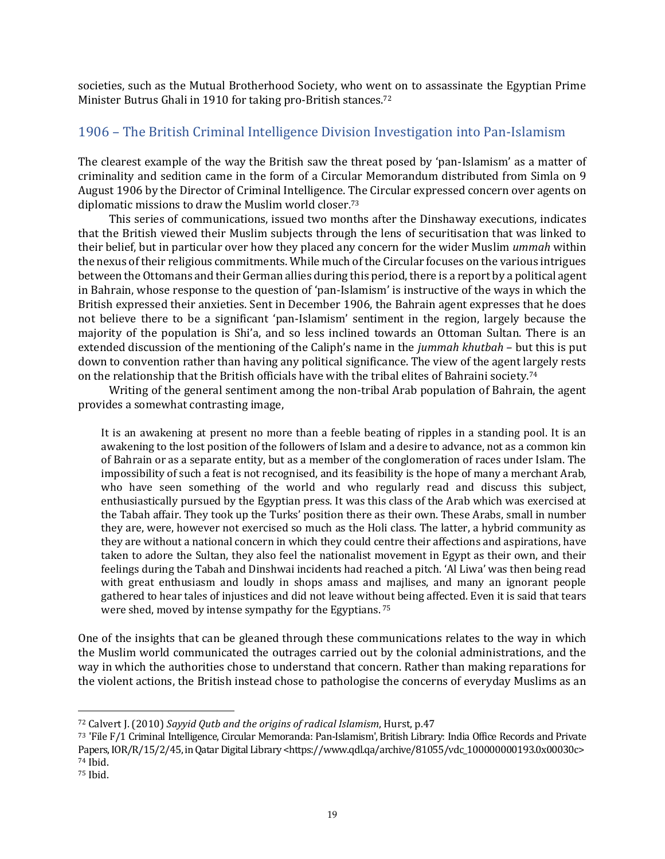societies, such as the Mutual Brotherhood Society, who went on to assassinate the Egyptian Prime Minister Butrus Ghali in 1910 for taking pro-British stances.<sup>72</sup>

#### <span id="page-18-0"></span>1906 – The British Criminal Intelligence Division Investigation into Pan-Islamism

The clearest example of the way the British saw the threat posed by 'pan-Islamism' as a matter of criminality and sedition came in the form of a Circular Memorandum distributed from Simla on 9 August 1906 by the Director of Criminal Intelligence. The Circular expressed concern over agents on diplomatic missions to draw the Muslim world closer. 73

This series of communications, issued two months after the Dinshaway executions, indicates that the British viewed their Muslim subjects through the lens of securitisation that was linked to their belief, but in particular over how they placed any concern for the wider Muslim *ummah* within the nexus of their religious commitments. While much of the Circular focuses on the various intrigues between the Ottomans and their German allies during this period, there is a report by a political agent in Bahrain, whose response to the question of 'pan-Islamism' is instructive of the ways in which the British expressed their anxieties. Sent in December 1906, the Bahrain agent expresses that he does not believe there to be a significant 'pan-Islamism' sentiment in the region, largely because the majority of the population is Shi'a, and so less inclined towards an Ottoman Sultan. There is an extended discussion of the mentioning of the Caliph's name in the *jummah khutbah* – but this is put down to convention rather than having any political significance. The view of the agent largely rests on the relationship that the British officials have with the tribal elites of Bahraini society.<sup>74</sup>

Writing of the general sentiment among the non-tribal Arab population of Bahrain, the agent provides a somewhat contrasting image,

It is an awakening at present no more than a feeble beating of ripples in a standing pool. It is an awakening to the lost position of the followers of Islam and a desire to advance, not as a common kin of Bahrain or as a separate entity, but as a member of the conglomeration of races under Islam. The impossibility of such a feat is not recognised, and its feasibility is the hope of many a merchant Arab, who have seen something of the world and who regularly read and discuss this subject, enthusiastically pursued by the Egyptian press. It was this class of the Arab which was exercised at the Tabah affair. They took up the Turks' position there as their own. These Arabs, small in number they are, were, however not exercised so much as the Holi class. The latter, a hybrid community as they are without a national concern in which they could centre their affections and aspirations, have taken to adore the Sultan, they also feel the nationalist movement in Egypt as their own, and their feelings during the Tabah and Dinshwai incidents had reached a pitch. 'Al Liwa' was then being read with great enthusiasm and loudly in shops amass and majlises, and many an ignorant people gathered to hear tales of injustices and did not leave without being affected. Even it is said that tears were shed, moved by intense sympathy for the Egyptians.<sup>75</sup>

One of the insights that can be gleaned through these communications relates to the way in which the Muslim world communicated the outrages carried out by the colonial administrations, and the way in which the authorities chose to understand that concern. Rather than making reparations for the violent actions, the British instead chose to pathologise the concerns of everyday Muslims as an

<sup>72</sup> Calvert J. (2010) *Sayyid Qutb and the origins of radical Islamism*, Hurst, p.47

<sup>73</sup> 'File F/1 Criminal Intelligence, Circular Memoranda: Pan-Islamism',British Library: India Office Records and Private Papers, IOR/R/15/2/45, in Qatar Digital Library [<https://www.qdl.qa/archive/81055/vdc\\_100000000193.0x00030c>](https://www.qdl.qa/archive/81055/vdc_100000000193.0x00030c) <sup>74</sup> Ibid.

<sup>75</sup> Ibid.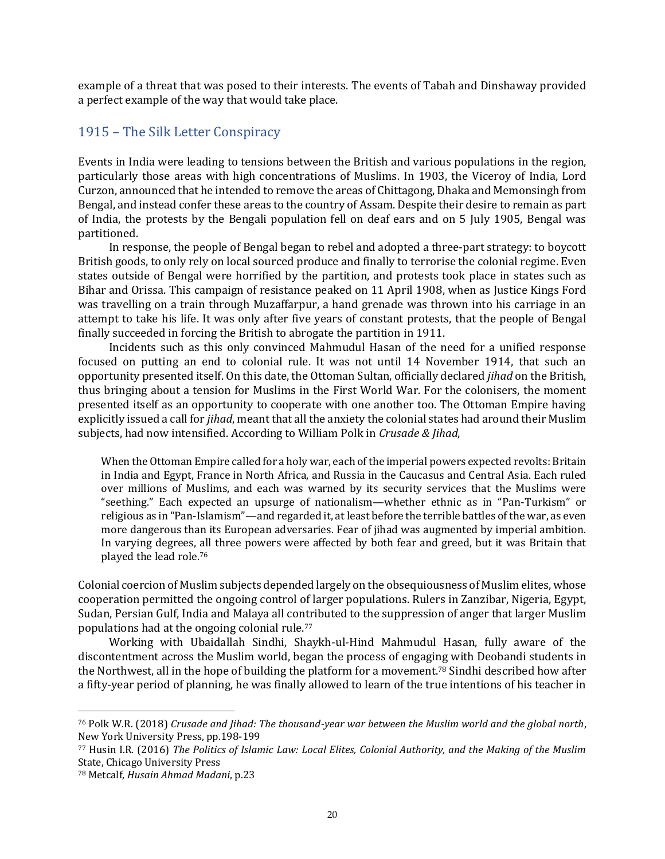example of a threat that was posed to their interests. The events of Tabah and Dinshaway provided a perfect example of the way that would take place.

#### <span id="page-19-0"></span>1915 – The Silk Letter Conspiracy

Events in India were leading to tensions between the British and various populations in the region, particularly those areas with high concentrations of Muslims. In 1903, the Viceroy of India, Lord Curzon, announced that he intended to remove the areas of Chittagong, Dhaka and Memonsingh from Bengal, and instead confer these areas to the country of Assam. Despite their desire to remain as part of India, the protests by the Bengali population fell on deaf ears and on 5 July 1905, Bengal was partitioned.

In response, the people of Bengal began to rebel and adopted a three-part strategy: to boycott British goods, to only rely on local sourced produce and finally to terrorise the colonial regime. Even states outside of Bengal were horrified by the partition, and protests took place in states such as Bihar and Orissa. This campaign of resistance peaked on 11 April 1908, when as Justice Kings Ford was travelling on a train through Muzaffarpur, a hand grenade was thrown into his carriage in an attempt to take his life. It was only after five years of constant protests, that the people of Bengal finally succeeded in forcing the British to abrogate the partition in 1911.

Incidents such as this only convinced Mahmudul Hasan of the need for a unified response focused on putting an end to colonial rule. It was not until 14 November 1914, that such an opportunity presented itself. On this date, the Ottoman Sultan, officially declared *jihad* on the British, thus bringing about a tension for Muslims in the First World War. For the colonisers, the moment presented itself as an opportunity to cooperate with one another too. The Ottoman Empire having explicitly issued a call for *jihad*, meant that all the anxiety the colonial states had around their Muslim subjects, had now intensified. According to William Polk in *Crusade & Jihad*,

When the Ottoman Empire called for a holy war, each of the imperial powers expected revolts: Britain in India and Egypt, France in North Africa, and Russia in the Caucasus and Central Asia. Each ruled over millions of Muslims, and each was warned by its security services that the Muslims were "seething." Each expected an upsurge of nationalism—whether ethnic as in "Pan-Turkism" or religious as in "Pan-Islamism"—and regarded it, at least before the terrible battles of the war, as even more dangerous than its European adversaries. Fear of jihad was augmented by imperial ambition. In varying degrees, all three powers were affected by both fear and greed, but it was Britain that played the lead role.<sup>76</sup>

Colonial coercion of Muslim subjects depended largely on the obsequiousness of Muslim elites, whose cooperation permitted the ongoing control of larger populations. Rulers in Zanzibar, Nigeria, Egypt, Sudan, Persian Gulf, India and Malaya all contributed to the suppression of anger that larger Muslim populations had at the ongoing colonial rule.<sup>77</sup>

Working with Ubaidallah Sindhi, Shaykh-ul-Hind Mahmudul Hasan, fully aware of the discontentment across the Muslim world, began the process of engaging with Deobandi students in the Northwest, all in the hope of building the platform for a movement.<sup>78</sup> Sindhi described how after a fifty-year period of planning, he was finally allowed to learn of the true intentions of his teacher in

<sup>76</sup> Polk W.R. (2018) *Crusade and Jihad: The thousand-year war between the Muslim world and the global north*, New York University Press, pp.198-199

<sup>77</sup> Husin I.R. (2016) *The Politics of Islamic Law: Local Elites, Colonial Authority, and the Making of the Muslim* State, Chicago University Press

<sup>78</sup> Metcalf, *Husain Ahmad Madani*, p.23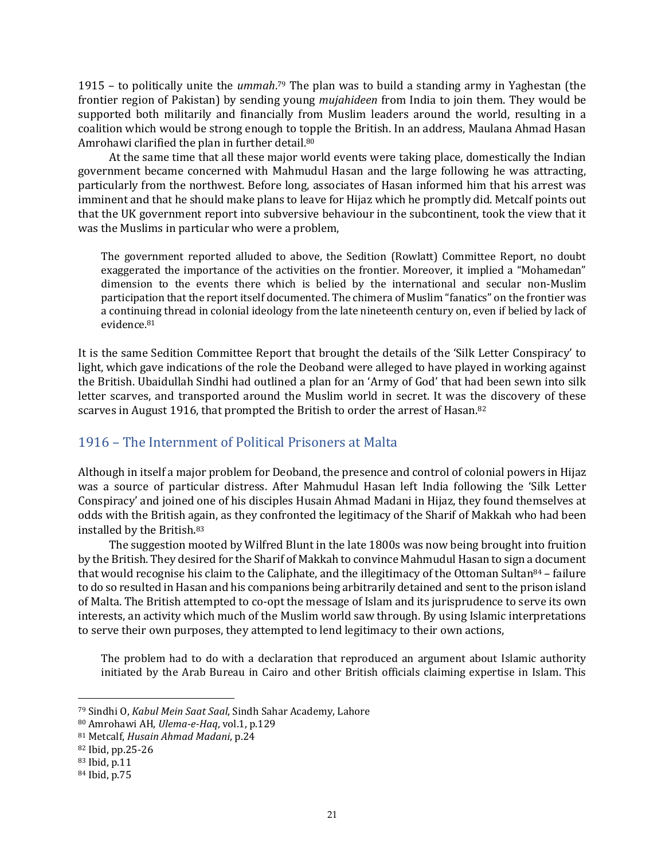1915 – to politically unite the *ummah*. <sup>79</sup> The plan was to build a standing army in Yaghestan (the frontier region of Pakistan) by sending young *mujahideen* from India to join them. They would be supported both militarily and financially from Muslim leaders around the world, resulting in a coalition which would be strong enough to topple the British. In an address, Maulana Ahmad Hasan Amrohawi clarified the plan in further detail.<sup>80</sup>

At the same time that all these major world events were taking place, domestically the Indian government became concerned with Mahmudul Hasan and the large following he was attracting, particularly from the northwest. Before long, associates of Hasan informed him that his arrest was imminent and that he should make plans to leave for Hijaz which he promptly did. Metcalf points out that the UK government report into subversive behaviour in the subcontinent, took the view that it was the Muslims in particular who were a problem,

The government reported alluded to above, the Sedition (Rowlatt) Committee Report, no doubt exaggerated the importance of the activities on the frontier. Moreover, it implied a "Mohamedan" dimension to the events there which is belied by the international and secular non-Muslim participation that the report itself documented. The chimera of Muslim "fanatics" on the frontier was a continuing thread in colonial ideology from the late nineteenth century on, even if belied by lack of evidence.<sup>81</sup>

It is the same Sedition Committee Report that brought the details of the 'Silk Letter Conspiracy' to light, which gave indications of the role the Deoband were alleged to have played in working against the British. Ubaidullah Sindhi had outlined a plan for an 'Army of God' that had been sewn into silk letter scarves, and transported around the Muslim world in secret. It was the discovery of these scarves in August 1916, that prompted the British to order the arrest of Hasan.<sup>82</sup>

### <span id="page-20-0"></span>1916 – The Internment of Political Prisoners at Malta

Although in itself a major problem for Deoband, the presence and control of colonial powers in Hijaz was a source of particular distress. After Mahmudul Hasan left India following the 'Silk Letter Conspiracy' and joined one of his disciples Husain Ahmad Madani in Hijaz, they found themselves at odds with the British again, as they confronted the legitimacy of the Sharif of Makkah who had been installed by the British. 83

The suggestion mooted by Wilfred Blunt in the late 1800s was now being brought into fruition by the British. They desired for the Sharif of Makkah to convince Mahmudul Hasan to sign a document that would recognise his claim to the Caliphate, and the illegitimacy of the Ottoman Sultan<sup>84</sup> – failure to do so resulted in Hasan and his companions being arbitrarily detained and sent to the prison island of Malta. The British attempted to co-opt the message of Islam and its jurisprudence to serve its own interests, an activity which much of the Muslim world saw through. By using Islamic interpretations to serve their own purposes, they attempted to lend legitimacy to their own actions,

The problem had to do with a declaration that reproduced an argument about Islamic authority initiated by the Arab Bureau in Cairo and other British officials claiming expertise in Islam. This

<sup>79</sup> Sindhi O, *Kabul Mein Saat Saal*, Sindh Sahar Academy, Lahore

<sup>80</sup> Amrohawi AH, *Ulema-e-Haq*, vol.1, p.129

<sup>81</sup> Metcalf, *Husain Ahmad Madani*, p.24

<sup>82</sup> Ibid, pp.25-26

<sup>83</sup> Ibid, p.11

<sup>84</sup> Ibid, p.75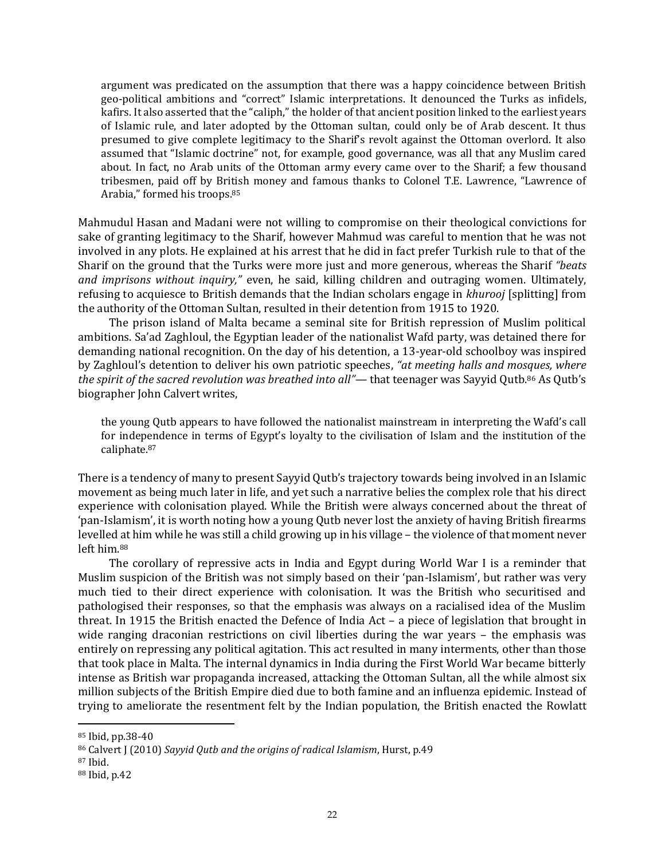argument was predicated on the assumption that there was a happy coincidence between British geo-political ambitions and "correct" Islamic interpretations. It denounced the Turks as infidels, kafirs. It also asserted that the "caliph," the holder of that ancient position linked to the earliest years of Islamic rule, and later adopted by the Ottoman sultan, could only be of Arab descent. It thus presumed to give complete legitimacy to the Sharif's revolt against the Ottoman overlord. It also assumed that "Islamic doctrine" not, for example, good governance, was all that any Muslim cared about. In fact, no Arab units of the Ottoman army every came over to the Sharif; a few thousand tribesmen, paid off by British money and famous thanks to Colonel T.E. Lawrence, "Lawrence of Arabia," formed his troops. 85

Mahmudul Hasan and Madani were not willing to compromise on their theological convictions for sake of granting legitimacy to the Sharif, however Mahmud was careful to mention that he was not involved in any plots. He explained at his arrest that he did in fact prefer Turkish rule to that of the Sharif on the ground that the Turks were more just and more generous, whereas the Sharif *"beats and imprisons without inquiry,"* even, he said, killing children and outraging women. Ultimately, refusing to acquiesce to British demands that the Indian scholars engage in *khurooj* [splitting] from the authority of the Ottoman Sultan, resulted in their detention from 1915 to 1920.

The prison island of Malta became a seminal site for British repression of Muslim political ambitions. Sa'ad Zaghloul, the Egyptian leader of the nationalist Wafd party, was detained there for demanding national recognition. On the day of his detention, a 13-year-old schoolboy was inspired by Zaghloul's detention to deliver his own patriotic speeches, *"at meeting halls and mosques, where the spirit of the sacred revolution was breathed into all"—* that teenager was Sayyid Qutb.<sup>86</sup> As Qutb's biographer John Calvert writes,

the young Qutb appears to have followed the nationalist mainstream in interpreting the Wafd's call for independence in terms of Egypt's loyalty to the civilisation of Islam and the institution of the caliphate.<sup>87</sup>

There is a tendency of many to present Sayyid Qutb's trajectory towards being involved in an Islamic movement as being much later in life, and yet such a narrative belies the complex role that his direct experience with colonisation played. While the British were always concerned about the threat of 'pan-Islamism', it is worth noting how a young Qutb never lost the anxiety of having British firearms levelled at him while he was still a child growing up in his village – the violence of that moment never left him.<sup>88</sup>

The corollary of repressive acts in India and Egypt during World War I is a reminder that Muslim suspicion of the British was not simply based on their 'pan-Islamism', but rather was very much tied to their direct experience with colonisation. It was the British who securitised and pathologised their responses, so that the emphasis was always on a racialised idea of the Muslim threat. In 1915 the British enacted the Defence of India Act – a piece of legislation that brought in wide ranging draconian restrictions on civil liberties during the war years – the emphasis was entirely on repressing any political agitation. This act resulted in many interments, other than those that took place in Malta. The internal dynamics in India during the First World War became bitterly intense as British war propaganda increased, attacking the Ottoman Sultan, all the while almost six million subjects of the British Empire died due to both famine and an influenza epidemic. Instead of trying to ameliorate the resentment felt by the Indian population, the British enacted the Rowlatt

<sup>85</sup> Ibid, pp.38-40

<sup>86</sup> Calvert J (2010) *Sayyid Qutb and the origins of radical Islamism*, Hurst, p.49

<sup>87</sup> Ibid.

<sup>88</sup> Ibid, p.42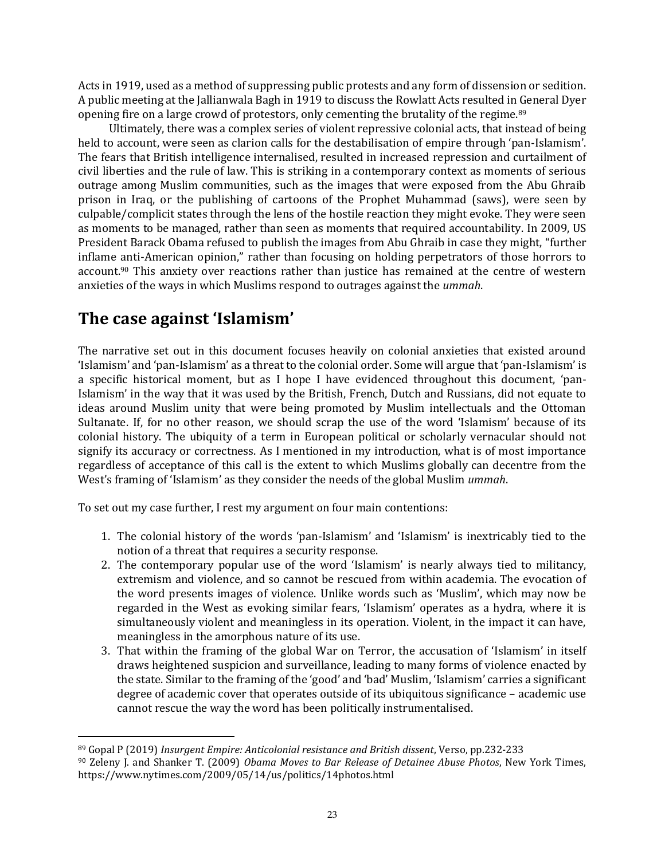Acts in 1919, used as a method of suppressing public protests and any form of dissension or sedition. A public meeting at the Jallianwala Bagh in 1919 to discuss the Rowlatt Acts resulted in General Dyer opening fire on a large crowd of protestors, only cementing the brutality of the regime.<sup>89</sup>

Ultimately, there was a complex series of violent repressive colonial acts, that instead of being held to account, were seen as clarion calls for the destabilisation of empire through 'pan-Islamism'. The fears that British intelligence internalised, resulted in increased repression and curtailment of civil liberties and the rule of law. This is striking in a contemporary context as moments of serious outrage among Muslim communities, such as the images that were exposed from the Abu Ghraib prison in Iraq, or the publishing of cartoons of the Prophet Muhammad (saws), were seen by culpable/complicit states through the lens of the hostile reaction they might evoke. They were seen as moments to be managed, rather than seen as moments that required accountability. In 2009, US President Barack Obama refused to publish the images from Abu Ghraib in case they might, "further inflame anti-American opinion," rather than focusing on holding perpetrators of those horrors to account.<sup>90</sup> This anxiety over reactions rather than justice has remained at the centre of western anxieties of the ways in which Muslims respond to outrages against the *ummah*.

# <span id="page-22-0"></span>**The case against 'Islamism'**

The narrative set out in this document focuses heavily on colonial anxieties that existed around 'Islamism' and 'pan-Islamism' as a threat to the colonial order. Some will argue that 'pan-Islamism' is a specific historical moment, but as I hope I have evidenced throughout this document, 'pan-Islamism' in the way that it was used by the British, French, Dutch and Russians, did not equate to ideas around Muslim unity that were being promoted by Muslim intellectuals and the Ottoman Sultanate. If, for no other reason, we should scrap the use of the word 'Islamism' because of its colonial history. The ubiquity of a term in European political or scholarly vernacular should not signify its accuracy or correctness. As I mentioned in my introduction, what is of most importance regardless of acceptance of this call is the extent to which Muslims globally can decentre from the West's framing of 'Islamism' as they consider the needs of the global Muslim *ummah*.

To set out my case further, I rest my argument on four main contentions:

- 1. The colonial history of the words 'pan-Islamism' and 'Islamism' is inextricably tied to the notion of a threat that requires a security response.
- 2. The contemporary popular use of the word 'Islamism' is nearly always tied to militancy, extremism and violence, and so cannot be rescued from within academia. The evocation of the word presents images of violence. Unlike words such as 'Muslim', which may now be regarded in the West as evoking similar fears, 'Islamism' operates as a hydra, where it is simultaneously violent and meaningless in its operation. Violent, in the impact it can have, meaningless in the amorphous nature of its use.
- 3. That within the framing of the global War on Terror, the accusation of 'Islamism' in itself draws heightened suspicion and surveillance, leading to many forms of violence enacted by the state. Similar to the framing of the 'good' and 'bad' Muslim, 'Islamism' carries a significant degree of academic cover that operates outside of its ubiquitous significance – academic use cannot rescue the way the word has been politically instrumentalised.

<sup>89</sup> Gopal P (2019) *Insurgent Empire: Anticolonial resistance and British dissent*, Verso, pp.232-233 <sup>90</sup> Zeleny J. and Shanker T. (2009) *Obama Moves to Bar Release of Detainee Abuse Photos*, New York Times, <https://www.nytimes.com/2009/05/14/us/politics/14photos.html>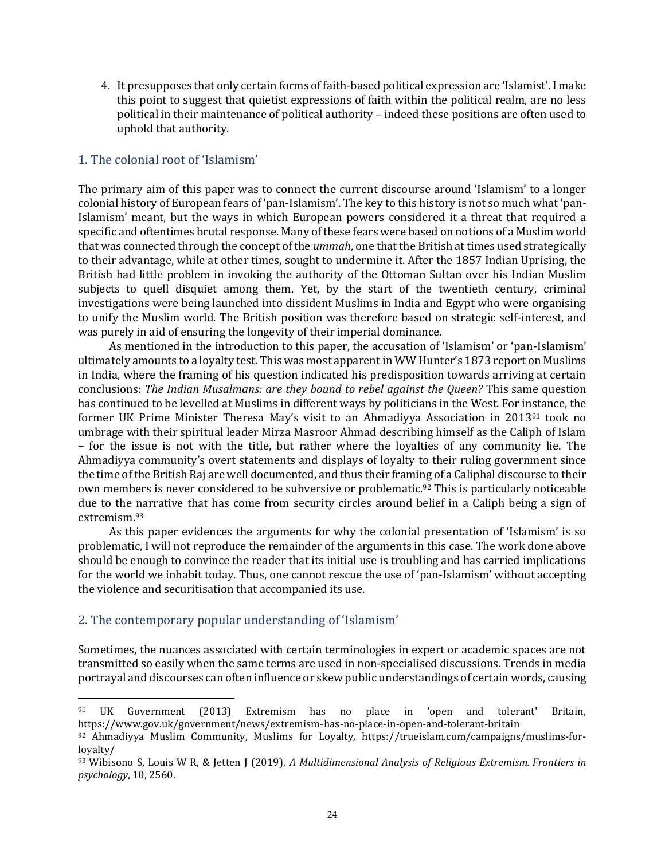4. It presupposes that only certain forms of faith-based political expression are 'Islamist'. I make this point to suggest that quietist expressions of faith within the political realm, are no less political in their maintenance of political authority – indeed these positions are often used to uphold that authority.

#### <span id="page-23-0"></span>1. The colonial root of 'Islamism'

The primary aim of this paper was to connect the current discourse around 'Islamism' to a longer colonial history of European fears of 'pan-Islamism'. The key to this history is not so much what 'pan-Islamism' meant, but the ways in which European powers considered it a threat that required a specific and oftentimes brutal response. Many of these fears were based on notions of a Muslim world that was connected through the concept of the *ummah*, one that the British at times used strategically to their advantage, while at other times, sought to undermine it. After the 1857 Indian Uprising, the British had little problem in invoking the authority of the Ottoman Sultan over his Indian Muslim subjects to quell disquiet among them. Yet, by the start of the twentieth century, criminal investigations were being launched into dissident Muslims in India and Egypt who were organising to unify the Muslim world. The British position was therefore based on strategic self-interest, and was purely in aid of ensuring the longevity of their imperial dominance.

As mentioned in the introduction to this paper, the accusation of 'Islamism' or 'pan-Islamism' ultimately amounts to a loyalty test. This was most apparent in WW Hunter's 1873 report on Muslims in India, where the framing of his question indicated his predisposition towards arriving at certain conclusions: *The Indian Musalmans: are they bound to rebel against the Queen?* This same question has continued to be levelled at Muslims in different ways by politicians in the West. For instance, the former UK Prime Minister Theresa May's visit to an Ahmadiyya Association in 2013<sup>91</sup> took no umbrage with their spiritual leader Mirza Masroor Ahmad describing himself as the Caliph of Islam – for the issue is not with the title, but rather where the loyalties of any community lie. The Ahmadiyya community's overt statements and displays of loyalty to their ruling government since the time of the British Raj are well documented, and thus their framing of a Caliphal discourse to their own members is never considered to be subversive or problematic.<sup>92</sup> This is particularly noticeable due to the narrative that has come from security circles around belief in a Caliph being a sign of extremism.<sup>93</sup>

As this paper evidences the arguments for why the colonial presentation of 'Islamism' is so problematic, I will not reproduce the remainder of the arguments in this case. The work done above should be enough to convince the reader that its initial use is troubling and has carried implications for the world we inhabit today. Thus, one cannot rescue the use of 'pan-Islamism' without accepting the violence and securitisation that accompanied its use.

#### <span id="page-23-1"></span>2. The contemporary popular understanding of 'Islamism'

Sometimes, the nuances associated with certain terminologies in expert or academic spaces are not transmitted so easily when the same terms are used in non-specialised discussions. Trends in media portrayal and discourses can often influence or skew public understandings of certain words, causing

<sup>91</sup> UK Government (2013) Extremism has no place in 'open and tolerant' Britain, <https://www.gov.uk/government/news/extremism-has-no-place-in-open-and-tolerant-britain>

<sup>92</sup> Ahmadiyya Muslim Community, Muslims for Loyalty, [https://trueislam.com/campaigns/muslims-for](https://trueislam.com/campaigns/muslims-for-loyalty/)[loyalty/](https://trueislam.com/campaigns/muslims-for-loyalty/)

<sup>93</sup> Wibisono S, Louis W R, & Jetten J (2019). *A Multidimensional Analysis of Religious Extremism. Frontiers in psychology*, 10, 2560.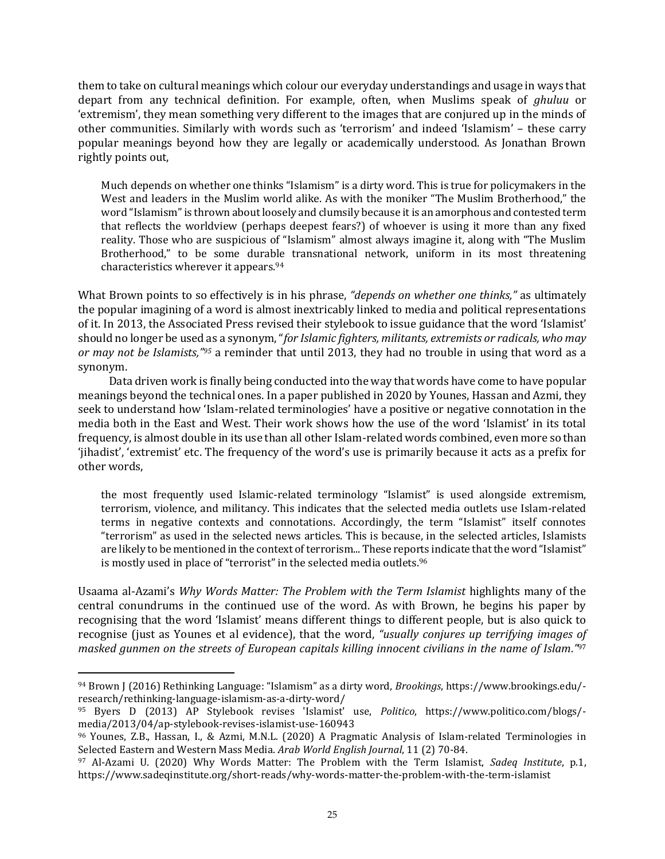them to take on cultural meanings which colour our everyday understandings and usage in ways that depart from any technical definition. For example, often, when Muslims speak of *ghuluu* or 'extremism', they mean something very different to the images that are conjured up in the minds of other communities. Similarly with words such as 'terrorism' and indeed 'Islamism' – these carry popular meanings beyond how they are legally or academically understood. As Jonathan Brown rightly points out,

Much depends on whether one thinks "Islamism" is a dirty word. This is true for policymakers in the West and leaders in the Muslim world alike. As with the moniker "The Muslim Brotherhood," the word "Islamism" is thrown about loosely and clumsily because it is an amorphous and contested term that reflects the worldview (perhaps deepest fears?) of whoever is using it more than any fixed reality. Those who are suspicious of "Islamism" almost always imagine it, along with "The Muslim Brotherhood," to be some durable transnational network, uniform in its most threatening characteristics wherever it appears.<sup>94</sup>

What Brown points to so effectively is in his phrase, *"depends on whether one thinks,"* as ultimately the popular imagining of a word is almost inextricably linked to media and political representations of it. In 2013, the Associated Press revised their stylebook to issue guidance that the word 'Islamist' should no longer be used as a synonym, "*for Islamic fighters, militants, extremists or radicals, who may or may not be Islamists," <sup>95</sup>* a reminder that until 2013, they had no trouble in using that word as a synonym.

Data driven work is finally being conducted into the way that words have come to have popular meanings beyond the technical ones. In a paper published in 2020 by Younes, Hassan and Azmi, they seek to understand how 'Islam-related terminologies' have a positive or negative connotation in the media both in the East and West. Their work shows how the use of the word 'Islamist' in its total frequency, is almost double in its use than all other Islam-related words combined, even more so than 'jihadist', 'extremist' etc. The frequency of the word's use is primarily because it acts as a prefix for other words,

the most frequently used Islamic-related terminology "Islamist" is used alongside extremism, terrorism, violence, and militancy. This indicates that the selected media outlets use Islam-related terms in negative contexts and connotations. Accordingly, the term "Islamist" itself connotes "terrorism" as used in the selected news articles. This is because, in the selected articles, Islamists are likely to be mentioned in the context of terrorism... These reports indicate that the word "Islamist" is mostly used in place of "terrorist" in the selected media outlets.<sup>96</sup>

Usaama al-Azami's *Why Words Matter: The Problem with the Term Islamist* highlights many of the central conundrums in the continued use of the word. As with Brown, he begins his paper by recognising that the word 'Islamist' means different things to different people, but is also quick to recognise (just as Younes et al evidence), that the word, *"usually conjures up terrifying images of masked gunmen on the streets of European capitals killing innocent civilians in the name of Islam."* 97

<sup>94</sup> Brown J (2016) Rethinking Language: "Islamism" as a dirty word, *Brookings*, [https://www.brookings.edu/](https://www.brookings.edu/-research/rethinking-language-islamism-as-a-dirty-word/) [research/rethinking-language-islamism-as-a-dirty-word/](https://www.brookings.edu/-research/rethinking-language-islamism-as-a-dirty-word/)

<sup>95</sup> Byers D (2013) AP Stylebook revises 'Islamist' use, *Politico*, [https://www.politico.com/blogs/](https://www.politico.com/blogs/-media/2013/04/ap-stylebook-revises-islamist-use-160943) [media/2013/04/ap-stylebook-revises-islamist-use-160943](https://www.politico.com/blogs/-media/2013/04/ap-stylebook-revises-islamist-use-160943)

<sup>96</sup> Younes, Z.B., Hassan, I., & Azmi, M.N.L. (2020) A Pragmatic Analysis of Islam-related Terminologies in Selected Eastern and Western Mass Media. *Arab World English Journal*, 11 (2) 70-84.

<sup>97</sup> Al-Azami U. (2020) Why Words Matter: The Problem with the Term Islamist, *Sadeq Institute*, p.1, <https://www.sadeqinstitute.org/short-reads/why-words-matter-the-problem-with-the-term-islamist>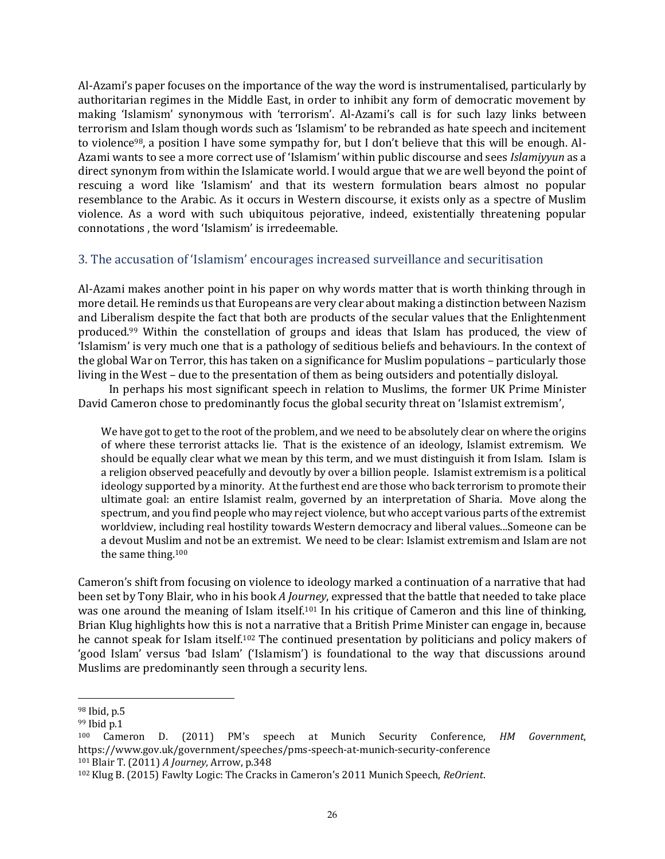Al-Azami's paper focuses on the importance of the way the word is instrumentalised, particularly by authoritarian regimes in the Middle East, in order to inhibit any form of democratic movement by making 'Islamism' synonymous with 'terrorism'. Al-Azami's call is for such lazy links between terrorism and Islam though words such as 'Islamism' to be rebranded as hate speech and incitement to violence<sup>98</sup>, a position I have some sympathy for, but I don't believe that this will be enough. Al-Azami wants to see a more correct use of 'Islamism' within public discourse and sees *Islamiyyun* as a direct synonym from within the Islamicate world. I would argue that we are well beyond the point of rescuing a word like 'Islamism' and that its western formulation bears almost no popular resemblance to the Arabic. As it occurs in Western discourse, it exists only as a spectre of Muslim violence. As a word with such ubiquitous pejorative, indeed, existentially threatening popular connotations , the word 'Islamism' is irredeemable.

#### <span id="page-25-0"></span>3. The accusation of 'Islamism' encourages increased surveillance and securitisation

Al-Azami makes another point in his paper on why words matter that is worth thinking through in more detail. He reminds us that Europeans are very clear about making a distinction between Nazism and Liberalism despite the fact that both are products of the secular values that the Enlightenment produced.<sup>99</sup> Within the constellation of groups and ideas that Islam has produced, the view of 'Islamism' is very much one that is a pathology of seditious beliefs and behaviours. In the context of the global War on Terror, this has taken on a significance for Muslim populations – particularly those living in the West – due to the presentation of them as being outsiders and potentially disloyal.

In perhaps his most significant speech in relation to Muslims, the former UK Prime Minister David Cameron chose to predominantly focus the global security threat on 'Islamist extremism',

We have got to get to the root of the problem, and we need to be absolutely clear on where the origins of where these terrorist attacks lie. That is the existence of an ideology, Islamist extremism. We should be equally clear what we mean by this term, and we must distinguish it from Islam. Islam is a religion observed peacefully and devoutly by over a billion people. Islamist extremism is a political ideology supported by a minority. At the furthest end are those who back terrorism to promote their ultimate goal: an entire Islamist realm, governed by an interpretation of Sharia. Move along the spectrum, and you find people who may reject violence, but who accept various parts of the extremist worldview, including real hostility towards Western democracy and liberal values...Someone can be a devout Muslim and not be an extremist. We need to be clear: Islamist extremism and Islam are not the same thing.<sup>100</sup>

Cameron's shift from focusing on violence to ideology marked a continuation of a narrative that had been set by Tony Blair, who in his book *A Journey*, expressed that the battle that needed to take place was one around the meaning of Islam itself.<sup>101</sup> In his critique of Cameron and this line of thinking, Brian Klug highlights how this is not a narrative that a British Prime Minister can engage in, because he cannot speak for Islam itself.<sup>102</sup> The continued presentation by politicians and policy makers of 'good Islam' versus 'bad Islam' ('Islamism') is foundational to the way that discussions around Muslims are predominantly seen through a security lens.

<sup>98</sup> Ibid, p.5

<sup>99</sup> Ibid p.1

<sup>100</sup> Cameron D. (2011) PM's speech at Munich Security Conference, *HM Government*, <https://www.gov.uk/government/speeches/pms-speech-at-munich-security-conference>

<sup>101</sup> Blair T. (2011) *A Journey*, Arrow, p.348

<sup>102</sup> Klug B. (2015) Fawlty Logic: The Cracks in Cameron's 2011 Munich Speech, *ReOrient*.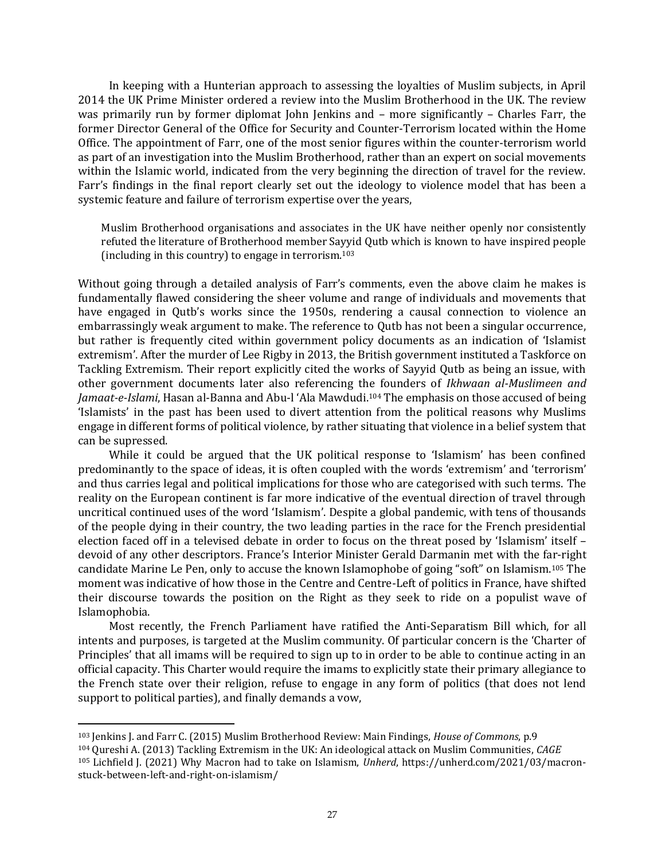In keeping with a Hunterian approach to assessing the loyalties of Muslim subjects, in April 2014 the UK Prime Minister ordered a review into the Muslim Brotherhood in the UK. The review was primarily run by former diplomat John Jenkins and – more significantly – Charles Farr, the former Director General of the Office for Security and Counter-Terrorism located within the Home Office. The appointment of Farr, one of the most senior figures within the counter-terrorism world as part of an investigation into the Muslim Brotherhood, rather than an expert on social movements within the Islamic world, indicated from the very beginning the direction of travel for the review. Farr's findings in the final report clearly set out the ideology to violence model that has been a systemic feature and failure of terrorism expertise over the years,

Muslim Brotherhood organisations and associates in the UK have neither openly nor consistently refuted the literature of Brotherhood member Sayyid Qutb which is known to have inspired people (including in this country) to engage in terrorism.<sup>103</sup>

Without going through a detailed analysis of Farr's comments, even the above claim he makes is fundamentally flawed considering the sheer volume and range of individuals and movements that have engaged in Qutb's works since the 1950s, rendering a causal connection to violence an embarrassingly weak argument to make. The reference to Qutb has not been a singular occurrence, but rather is frequently cited within government policy documents as an indication of 'Islamist extremism'. After the murder of Lee Rigby in 2013, the British government instituted a Taskforce on Tackling Extremism. Their report explicitly cited the works of Sayyid Qutb as being an issue, with other government documents later also referencing the founders of *Ikhwaan al-Muslimeen and Jamaat-e-Islami*, Hasan al-Banna and Abu-l 'Ala Mawdudi.<sup>104</sup> The emphasis on those accused of being 'Islamists' in the past has been used to divert attention from the political reasons why Muslims engage in different forms of political violence, by rather situating that violence in a belief system that can be supressed.

While it could be argued that the UK political response to 'Islamism' has been confined predominantly to the space of ideas, it is often coupled with the words 'extremism' and 'terrorism' and thus carries legal and political implications for those who are categorised with such terms. The reality on the European continent is far more indicative of the eventual direction of travel through uncritical continued uses of the word 'Islamism'. Despite a global pandemic, with tens of thousands of the people dying in their country, the two leading parties in the race for the French presidential election faced off in a televised debate in order to focus on the threat posed by 'Islamism' itself – devoid of any other descriptors. France's Interior Minister Gerald Darmanin met with the far-right candidate Marine Le Pen, only to accuse the known Islamophobe of going "soft" on Islamism.<sup>105</sup> The moment was indicative of how those in the Centre and Centre-Left of politics in France, have shifted their discourse towards the position on the Right as they seek to ride on a populist wave of Islamophobia.

Most recently, the French Parliament have ratified the Anti-Separatism Bill which, for all intents and purposes, is targeted at the Muslim community. Of particular concern is the 'Charter of Principles' that all imams will be required to sign up to in order to be able to continue acting in an official capacity. This Charter would require the imams to explicitly state their primary allegiance to the French state over their religion, refuse to engage in any form of politics (that does not lend support to political parties), and finally demands a vow,

<sup>103</sup> Jenkins J. and Farr C. (2015) Muslim Brotherhood Review: Main Findings, *House of Commons*, p.9

<sup>104</sup> Qureshi A. (2013) Tackling Extremism in the UK: An ideological attack on Muslim Communities, *CAGE*

<sup>105</sup> Lichfield J. (2021) Why Macron had to take on Islamism, *Unherd*, [https://unherd.com/2021/03/macron](https://unherd.com/2021/03/macron-stuck-between-left-and-right-on-islamism/)[stuck-between-left-and-right-on-islamism/](https://unherd.com/2021/03/macron-stuck-between-left-and-right-on-islamism/)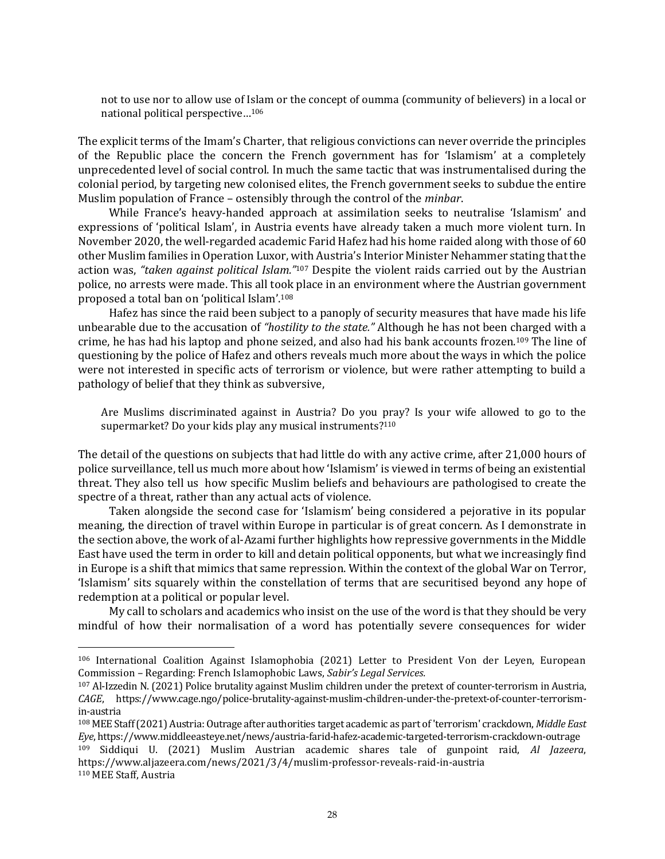not to use nor to allow use of Islam or the concept of oumma (community of believers) in a local or national political perspective…<sup>106</sup>

The explicit terms of the Imam's Charter, that religious convictions can never override the principles of the Republic place the concern the French government has for 'Islamism' at a completely unprecedented level of social control. In much the same tactic that was instrumentalised during the colonial period, by targeting new colonised elites, the French government seeks to subdue the entire Muslim population of France – ostensibly through the control of the *minbar*.

While France's heavy-handed approach at assimilation seeks to neutralise 'Islamism' and expressions of 'political Islam', in Austria events have already taken a much more violent turn. In November 2020, the well-regarded academic Farid Hafez had his home raided along with those of 60 other Muslim families in Operation Luxor, with Austria's Interior Minister Nehammer stating that the action was, *"taken against political Islam."*<sup>107</sup> Despite the violent raids carried out by the Austrian police, no arrests were made. This all took place in an environment where the Austrian government proposed a total ban on 'political Islam'.<sup>108</sup>

Hafez has since the raid been subject to a panoply of security measures that have made his life unbearable due to the accusation of *"hostility to the state."* Although he has not been charged with a crime, he has had his laptop and phone seized, and also had his bank accounts frozen.<sup>109</sup> The line of questioning by the police of Hafez and others reveals much more about the ways in which the police were not interested in specific acts of terrorism or violence, but were rather attempting to build a pathology of belief that they think as subversive,

Are Muslims discriminated against in Austria? Do you pray? Is your wife allowed to go to the supermarket? Do your kids play any musical instruments?<sup>110</sup>

The detail of the questions on subjects that had little do with any active crime, after 21,000 hours of police surveillance, tell us much more about how 'Islamism' is viewed in terms of being an existential threat. They also tell us how specific Muslim beliefs and behaviours are pathologised to create the spectre of a threat, rather than any actual acts of violence.

Taken alongside the second case for 'Islamism' being considered a pejorative in its popular meaning, the direction of travel within Europe in particular is of great concern. As I demonstrate in the section above, the work of al-Azami further highlights how repressive governments in the Middle East have used the term in order to kill and detain political opponents, but what we increasingly find in Europe is a shift that mimics that same repression. Within the context of the global War on Terror, 'Islamism' sits squarely within the constellation of terms that are securitised beyond any hope of redemption at a political or popular level.

My call to scholars and academics who insist on the use of the word is that they should be very mindful of how their normalisation of a word has potentially severe consequences for wider

<sup>106</sup> International Coalition Against Islamophobia (2021) Letter to President Von der Leyen, European Commission – Regarding: French Islamophobic Laws, *Sabir's Legal Services.*

<sup>107</sup> Al-Izzedin N. (2021) Police brutality against Muslim children under the pretext of counter-terrorism in Austria, *CAGE*, [https://www.cage.ngo/police-brutality-against-muslim-children-under-the-pretext-of-counter-terrorism](https://www.cage.ngo/police-brutality-against-muslim-children-under-the-pretext-of-counter-terrorism-in-austria)[in-austria](https://www.cage.ngo/police-brutality-against-muslim-children-under-the-pretext-of-counter-terrorism-in-austria)

<sup>108</sup> MEE Staff (2021) Austria: Outrage after authorities target academic as part of 'terrorism' crackdown, *Middle East Eye*[, https://www.middleeasteye.net/news/austria-farid-hafez-academic-targeted-terrorism-crackdown-outrage](https://www.middleeasteye.net/news/austria-farid-hafez-academic-targeted-terrorism-crackdown-outrage)

<sup>109</sup> Siddiqui U. (2021) Muslim Austrian academic shares tale of gunpoint raid, *Al Jazeera*, <https://www.aljazeera.com/news/2021/3/4/muslim-professor-reveals-raid-in-austria> <sup>110</sup> MEE Staff, Austria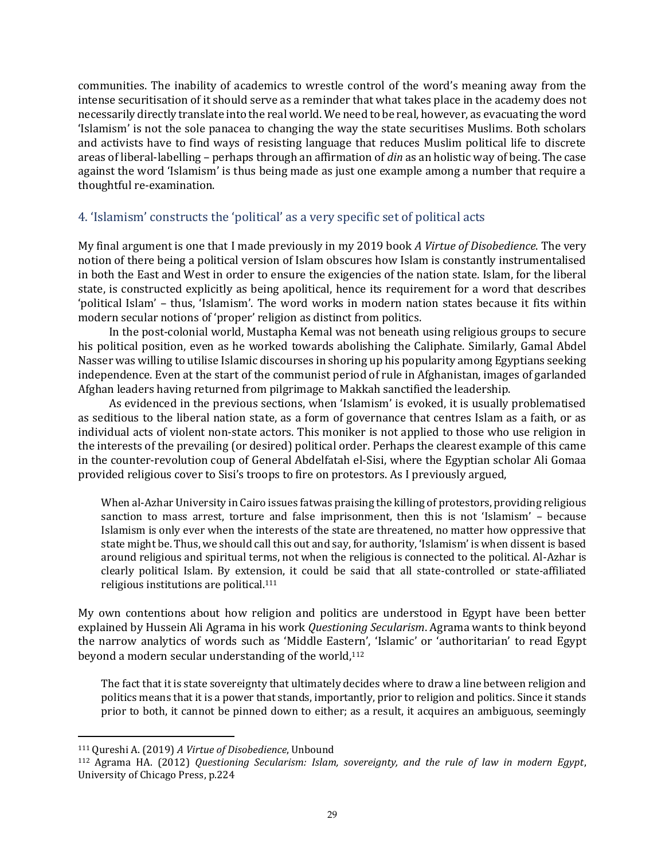communities. The inability of academics to wrestle control of the word's meaning away from the intense securitisation of it should serve as a reminder that what takes place in the academy does not necessarily directly translate into the real world. We need to be real, however, as evacuating the word 'Islamism' is not the sole panacea to changing the way the state securitises Muslims. Both scholars and activists have to find ways of resisting language that reduces Muslim political life to discrete areas of liberal-labelling – perhaps through an affirmation of *din* as an holistic way of being. The case against the word 'Islamism' is thus being made as just one example among a number that require a thoughtful re-examination.

#### <span id="page-28-0"></span>4. 'Islamism' constructs the 'political' as a very specific set of political acts

My final argument is one that I made previously in my 2019 book *A Virtue of Disobedience*. The very notion of there being a political version of Islam obscures how Islam is constantly instrumentalised in both the East and West in order to ensure the exigencies of the nation state. Islam, for the liberal state, is constructed explicitly as being apolitical, hence its requirement for a word that describes 'political Islam' – thus, 'Islamism'. The word works in modern nation states because it fits within modern secular notions of 'proper' religion as distinct from politics.

In the post-colonial world, Mustapha Kemal was not beneath using religious groups to secure his political position, even as he worked towards abolishing the Caliphate. Similarly, Gamal Abdel Nasser was willing to utilise Islamic discourses in shoring up his popularity among Egyptians seeking independence. Even at the start of the communist period of rule in Afghanistan, images of garlanded Afghan leaders having returned from pilgrimage to Makkah sanctified the leadership.

As evidenced in the previous sections, when 'Islamism' is evoked, it is usually problematised as seditious to the liberal nation state, as a form of governance that centres Islam as a faith, or as individual acts of violent non-state actors. This moniker is not applied to those who use religion in the interests of the prevailing (or desired) political order. Perhaps the clearest example of this came in the counter-revolution coup of General Abdelfatah el-Sisi, where the Egyptian scholar Ali Gomaa provided religious cover to Sisi's troops to fire on protestors. As I previously argued,

When al-Azhar University in Cairo issues fatwas praising the killing of protestors, providing religious sanction to mass arrest, torture and false imprisonment, then this is not 'Islamism' – because Islamism is only ever when the interests of the state are threatened, no matter how oppressive that state might be. Thus, we should call this out and say, for authority, 'Islamism' is when dissent is based around religious and spiritual terms, not when the religious is connected to the political. Al-Azhar is clearly political Islam. By extension, it could be said that all state-controlled or state-affiliated religious institutions are political.<sup>111</sup>

My own contentions about how religion and politics are understood in Egypt have been better explained by Hussein Ali Agrama in his work *Questioning Secularism*. Agrama wants to think beyond the narrow analytics of words such as 'Middle Eastern', 'Islamic' or 'authoritarian' to read Egypt beyond a modern secular understanding of the world, 112

The fact that it is state sovereignty that ultimately decides where to draw a line between religion and politics means that it is a power that stands, importantly, prior to religion and politics. Since it stands prior to both, it cannot be pinned down to either; as a result, it acquires an ambiguous, seemingly

<sup>111</sup> Qureshi A. (2019) *A Virtue of Disobedience*, Unbound

<sup>112</sup> Agrama HA. (2012) *Questioning Secularism: Islam, sovereignty, and the rule of law in modern Egypt*, University of Chicago Press, p.224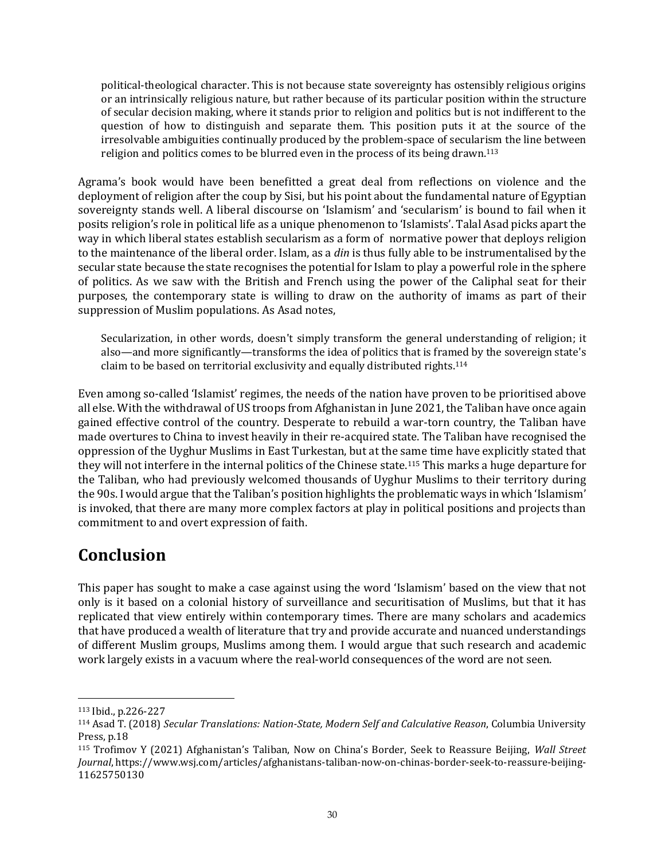political-theological character. This is not because state sovereignty has ostensibly religious origins or an intrinsically religious nature, but rather because of its particular position within the structure of secular decision making, where it stands prior to religion and politics but is not indifferent to the question of how to distinguish and separate them. This position puts it at the source of the irresolvable ambiguities continually produced by the problem-space of secularism the line between religion and politics comes to be blurred even in the process of its being drawn.<sup>113</sup>

Agrama's book would have been benefitted a great deal from reflections on violence and the deployment of religion after the coup by Sisi, but his point about the fundamental nature of Egyptian sovereignty stands well. A liberal discourse on 'Islamism' and 'secularism' is bound to fail when it posits religion's role in political life as a unique phenomenon to 'Islamists'. Talal Asad picks apart the way in which liberal states establish secularism as a form of normative power that deploys religion to the maintenance of the liberal order. Islam, as a *din* is thus fully able to be instrumentalised by the secular state because the state recognises the potential for Islam to play a powerful role in the sphere of politics. As we saw with the British and French using the power of the Caliphal seat for their purposes, the contemporary state is willing to draw on the authority of imams as part of their suppression of Muslim populations. As Asad notes,

Secularization, in other words, doesn't simply transform the general understanding of religion; it also—and more significantly—transforms the idea of politics that is framed by the sovereign state's claim to be based on territorial exclusivity and equally distributed rights. 114

Even among so-called 'Islamist' regimes, the needs of the nation have proven to be prioritised above all else. With the withdrawal of US troops from Afghanistan in June 2021, the Taliban have once again gained effective control of the country. Desperate to rebuild a war-torn country, the Taliban have made overtures to China to invest heavily in their re-acquired state. The Taliban have recognised the oppression of the Uyghur Muslims in East Turkestan, but at the same time have explicitly stated that they will not interfere in the internal politics of the Chinese state.<sup>115</sup> This marks a huge departure for the Taliban, who had previously welcomed thousands of Uyghur Muslims to their territory during the 90s. I would argue that the Taliban's position highlights the problematic ways in which 'Islamism' is invoked, that there are many more complex factors at play in political positions and projects than commitment to and overt expression of faith.

# <span id="page-29-0"></span>**Conclusion**

This paper has sought to make a case against using the word 'Islamism' based on the view that not only is it based on a colonial history of surveillance and securitisation of Muslims, but that it has replicated that view entirely within contemporary times. There are many scholars and academics that have produced a wealth of literature that try and provide accurate and nuanced understandings of different Muslim groups, Muslims among them. I would argue that such research and academic work largely exists in a vacuum where the real-world consequences of the word are not seen.

<sup>113</sup> Ibid., p.226-227

<sup>114</sup> Asad T. (2018) *Secular Translations: Nation-State, Modern Self and Calculative Reason*, Columbia University Press, p.18

<sup>115</sup> Trofimov Y (2021) Afghanistan's Taliban, Now on China's Border, Seek to Reassure Beijing, *Wall Street Journal*[, https://www.wsj.com/articles/afghanistans-taliban-now-on-chinas-border-seek-to-reassure-beijing-](https://www.wsj.com/articles/afghanistans-taliban-now-on-chinas-border-seek-to-reassure-beijing-11625750130)[11625750130](https://www.wsj.com/articles/afghanistans-taliban-now-on-chinas-border-seek-to-reassure-beijing-11625750130)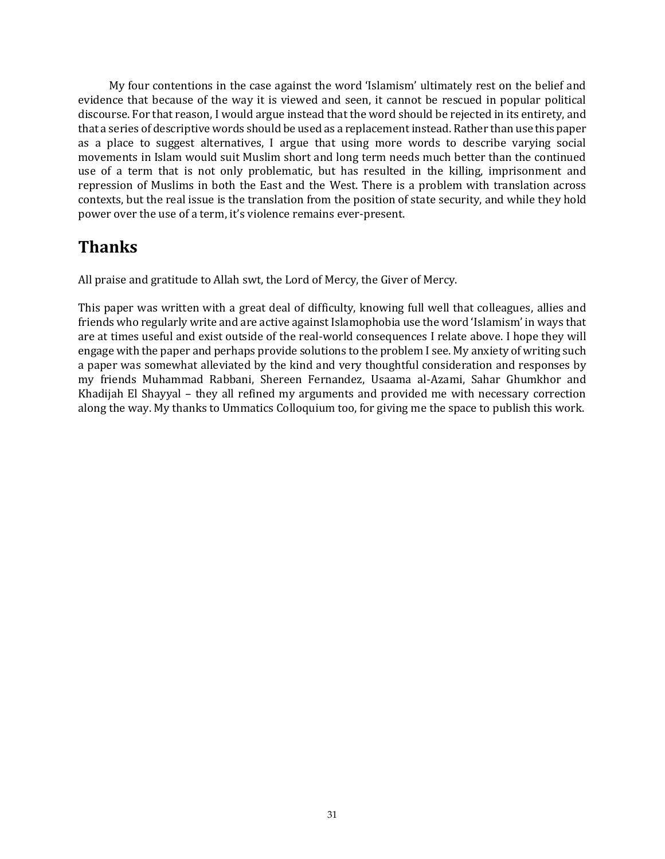My four contentions in the case against the word 'Islamism' ultimately rest on the belief and evidence that because of the way it is viewed and seen, it cannot be rescued in popular political discourse. For that reason, I would argue instead that the word should be rejected in its entirety, and that a series of descriptive words should be used as a replacement instead. Rather than use this paper as a place to suggest alternatives, I argue that using more words to describe varying social movements in Islam would suit Muslim short and long term needs much better than the continued use of a term that is not only problematic, but has resulted in the killing, imprisonment and repression of Muslims in both the East and the West. There is a problem with translation across contexts, but the real issue is the translation from the position of state security, and while they hold power over the use of a term, it's violence remains ever-present.

# <span id="page-30-0"></span>**Thanks**

All praise and gratitude to Allah swt, the Lord of Mercy, the Giver of Mercy.

This paper was written with a great deal of difficulty, knowing full well that colleagues, allies and friends who regularly write and are active against Islamophobia use the word 'Islamism' in ways that are at times useful and exist outside of the real-world consequences I relate above. I hope they will engage with the paper and perhaps provide solutions to the problem I see. My anxiety of writing such a paper was somewhat alleviated by the kind and very thoughtful consideration and responses by my friends Muhammad Rabbani, Shereen Fernandez, Usaama al-Azami, Sahar Ghumkhor and Khadijah El Shayyal – they all refined my arguments and provided me with necessary correction along the way. My thanks to Ummatics Colloquium too, for giving me the space to publish this work.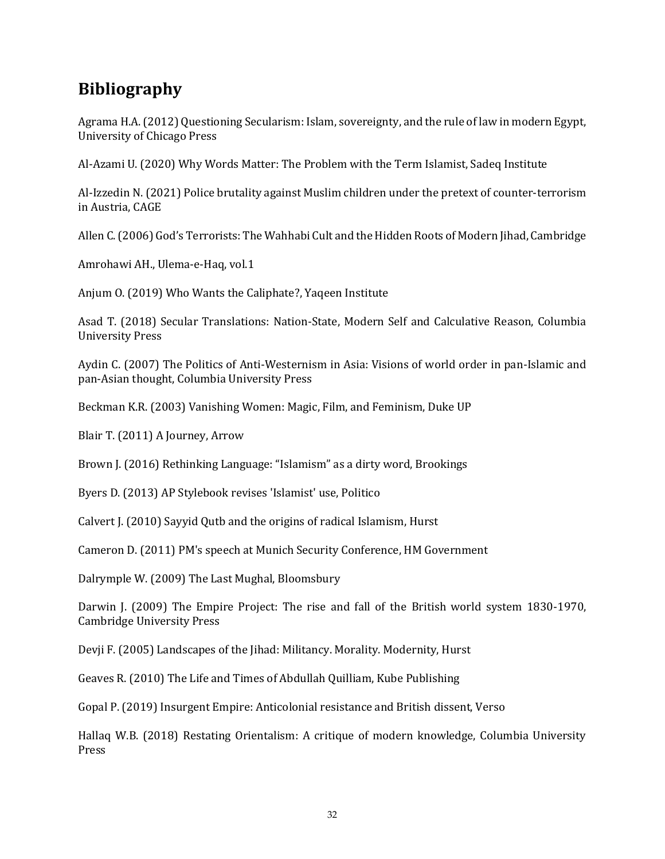# <span id="page-31-0"></span>**Bibliography**

Agrama H.A. (2012) Questioning Secularism: Islam, sovereignty, and the rule of law in modern Egypt, University of Chicago Press

Al-Azami U. (2020) Why Words Matter: The Problem with the Term Islamist, Sadeq Institute

Al-Izzedin N. (2021) Police brutality against Muslim children under the pretext of counter-terrorism in Austria, CAGE

Allen C.(2006) God's Terrorists: The Wahhabi Cult and the Hidden Roots of Modern Jihad, Cambridge

Amrohawi AH., Ulema-e-Haq, vol.1

Anjum O. (2019) Who Wants the Caliphate?, Yaqeen Institute

Asad T. (2018) Secular Translations: Nation-State, Modern Self and Calculative Reason, Columbia University Press

Aydin C. (2007) The Politics of Anti-Westernism in Asia: Visions of world order in pan-Islamic and pan-Asian thought, Columbia University Press

Beckman K.R. (2003) Vanishing Women: Magic, Film, and Feminism, Duke UP

Blair T. (2011) A Journey, Arrow

Brown J. (2016) Rethinking Language: "Islamism" as a dirty word, Brookings

Byers D. (2013) AP Stylebook revises 'Islamist' use, Politico

Calvert J. (2010) Sayyid Qutb and the origins of radical Islamism, Hurst

Cameron D. (2011) PM's speech at Munich Security Conference, HM Government

Dalrymple W. (2009) The Last Mughal, Bloomsbury

Darwin J. (2009) The Empire Project: The rise and fall of the British world system 1830-1970, Cambridge University Press

Devji F. (2005) Landscapes of the Jihad: Militancy. Morality. Modernity, Hurst

Geaves R. (2010) The Life and Times of Abdullah Quilliam, Kube Publishing

Gopal P. (2019) Insurgent Empire: Anticolonial resistance and British dissent, Verso

Hallaq W.B. (2018) Restating Orientalism: A critique of modern knowledge, Columbia University Press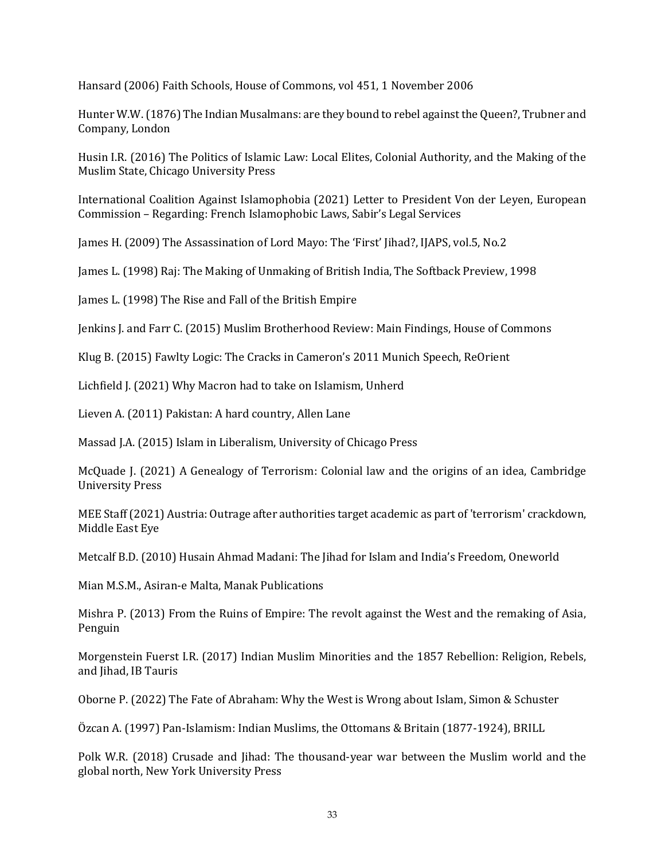Hansard (2006) Faith Schools, House of Commons, vol 451, 1 November 2006

Hunter W.W.(1876) The Indian Musalmans: are they bound to rebel against the Queen?, Trubner and Company, London

Husin I.R. (2016) The Politics of Islamic Law: Local Elites, Colonial Authority, and the Making of the Muslim State, Chicago University Press

International Coalition Against Islamophobia (2021) Letter to President Von der Leyen, European Commission – Regarding: French Islamophobic Laws, Sabir's Legal Services

James H. (2009) The Assassination of Lord Mayo: The 'First' Jihad?, IJAPS, vol.5, No.2

James L. (1998) Raj: The Making of Unmaking of British India, The Softback Preview, 1998

James L. (1998) The Rise and Fall of the British Empire

Jenkins J. and Farr C. (2015) Muslim Brotherhood Review: Main Findings, House of Commons

Klug B. (2015) Fawlty Logic: The Cracks in Cameron's 2011 Munich Speech, ReOrient

Lichfield J. (2021) Why Macron had to take on Islamism, Unherd

Lieven A. (2011) Pakistan: A hard country, Allen Lane

Massad J.A. (2015) Islam in Liberalism, University of Chicago Press

McQuade J. (2021) A Genealogy of Terrorism: Colonial law and the origins of an idea, Cambridge University Press

MEE Staff (2021) Austria: Outrage after authorities target academic as part of 'terrorism' crackdown, Middle East Eye

Metcalf B.D. (2010) Husain Ahmad Madani: The Jihad for Islam and India's Freedom, Oneworld

Mian M.S.M., Asiran-e Malta, Manak Publications

Mishra P. (2013) From the Ruins of Empire: The revolt against the West and the remaking of Asia, Penguin

Morgenstein Fuerst I.R. (2017) Indian Muslim Minorities and the 1857 Rebellion: Religion, Rebels, and Jihad, IB Tauris

Oborne P. (2022) The Fate of Abraham: Why the West is Wrong about Islam, Simon & Schuster

Özcan A. (1997) Pan-Islamism: Indian Muslims, the Ottomans & Britain (1877-1924), BRILL

Polk W.R. (2018) Crusade and Jihad: The thousand-year war between the Muslim world and the global north, New York University Press